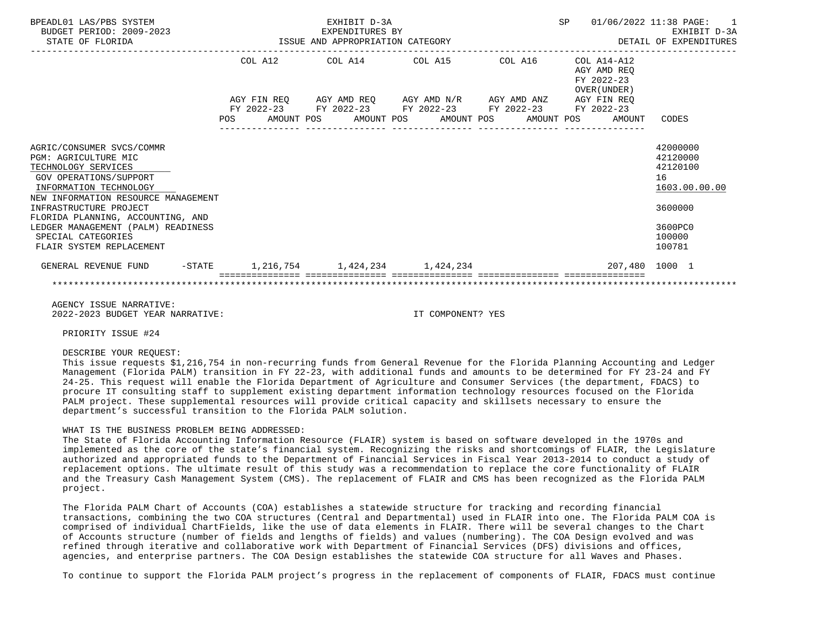| BPEADL01 LAS/PBS SYSTEM<br>BUDGET PERIOD: 2009-2023<br>STATE OF FLORIDA                                                                                                                                                                                                         |  |  |                                 | EXHIBIT D-3A<br>EXPENDITURES BY<br>EXPENDITURES BY<br>ISSUE AND APPROPRIATION CATEGORY                                |  |  |  | SP 01/06/2022 11:38 PAGE: 1<br>EXHIBIT D-3A<br>DETAIL OF EXPENDITURES |                                                          |                                                              |                                                                                         |  |
|---------------------------------------------------------------------------------------------------------------------------------------------------------------------------------------------------------------------------------------------------------------------------------|--|--|---------------------------------|-----------------------------------------------------------------------------------------------------------------------|--|--|--|-----------------------------------------------------------------------|----------------------------------------------------------|--------------------------------------------------------------|-----------------------------------------------------------------------------------------|--|
|                                                                                                                                                                                                                                                                                 |  |  | COL A12 COL A14 COL A15 COL A16 |                                                                                                                       |  |  |  |                                                                       | COL A14-A12<br>AGY AMD REO<br>FY 2022-23<br>OVER (UNDER) |                                                              |                                                                                         |  |
|                                                                                                                                                                                                                                                                                 |  |  |                                 | AGY FIN REQ AGY AMD REQ AGY AMD N/R AGY AMD ANZ AGY FIN REQ<br>FY 2022-23 FY 2022-23 FY 2022-23 FY 2022-23 FY 2022-23 |  |  |  |                                                                       |                                                          |                                                              |                                                                                         |  |
|                                                                                                                                                                                                                                                                                 |  |  |                                 |                                                                                                                       |  |  |  |                                                                       |                                                          | POS AMOUNT POS AMOUNT POS AMOUNT POS AMOUNT POS AMOUNT CODES |                                                                                         |  |
| AGRIC/CONSUMER SVCS/COMMR<br><b>PGM: AGRICULTURE MIC</b><br>TECHNOLOGY SERVICES<br>GOV OPERATIONS/SUPPORT<br>INFORMATION TECHNOLOGY<br>NEW INFORMATION RESOURCE MANAGEMENT<br>INFRASTRUCTURE PROJECT<br>FLORIDA PLANNING, ACCOUNTING, AND<br>LEDGER MANAGEMENT (PALM) READINESS |  |  |                                 |                                                                                                                       |  |  |  |                                                                       |                                                          |                                                              | 42000000<br>42120000<br>42120100<br>16<br>1603.00.00.00<br>3600000<br>3600PC0<br>100000 |  |
| SPECIAL CATEGORIES<br>FLAIR SYSTEM REPLACEMENT                                                                                                                                                                                                                                  |  |  |                                 |                                                                                                                       |  |  |  |                                                                       |                                                          |                                                              | 100781                                                                                  |  |
| GENERAL REVENUE FUND -STATE 1,216,754 1,424,234 1,424,234                                                                                                                                                                                                                       |  |  |                                 | ================================                                                                                      |  |  |  |                                                                       |                                                          | 207,480 1000 1                                               |                                                                                         |  |
|                                                                                                                                                                                                                                                                                 |  |  |                                 |                                                                                                                       |  |  |  |                                                                       |                                                          |                                                              |                                                                                         |  |

 AGENCY ISSUE NARRATIVE: 2022-2023 BUDGET YEAR NARRATIVE: IT COMPONENT? YES

PRIORITY ISSUE #24

## DESCRIBE YOUR REQUEST:

 This issue requests \$1,216,754 in non-recurring funds from General Revenue for the Florida Planning Accounting and Ledger Management (Florida PALM) transition in FY 22-23, with additional funds and amounts to be determined for FY 23-24 and FY 24-25. This request will enable the Florida Department of Agriculture and Consumer Services (the department, FDACS) to procure IT consulting staff to supplement existing department information technology resources focused on the Florida PALM project. These supplemental resources will provide critical capacity and skillsets necessary to ensure the department's successful transition to the Florida PALM solution.

#### WHAT IS THE BUSINESS PROBLEM BEING ADDRESSED:

 The State of Florida Accounting Information Resource (FLAIR) system is based on software developed in the 1970s and implemented as the core of the state's financial system. Recognizing the risks and shortcomings of FLAIR, the Legislature authorized and appropriated funds to the Department of Financial Services in Fiscal Year 2013-2014 to conduct a study of replacement options. The ultimate result of this study was a recommendation to replace the core functionality of FLAIR and the Treasury Cash Management System (CMS). The replacement of FLAIR and CMS has been recognized as the Florida PALM project.

 The Florida PALM Chart of Accounts (COA) establishes a statewide structure for tracking and recording financial transactions, combining the two COA structures (Central and Departmental) used in FLAIR into one. The Florida PALM COA is comprised of individual ChartFields, like the use of data elements in FLAIR. There will be several changes to the Chart of Accounts structure (number of fields and lengths of fields) and values (numbering). The COA Design evolved and was refined through iterative and collaborative work with Department of Financial Services (DFS) divisions and offices, agencies, and enterprise partners. The COA Design establishes the statewide COA structure for all Waves and Phases.

To continue to support the Florida PALM project's progress in the replacement of components of FLAIR, FDACS must continue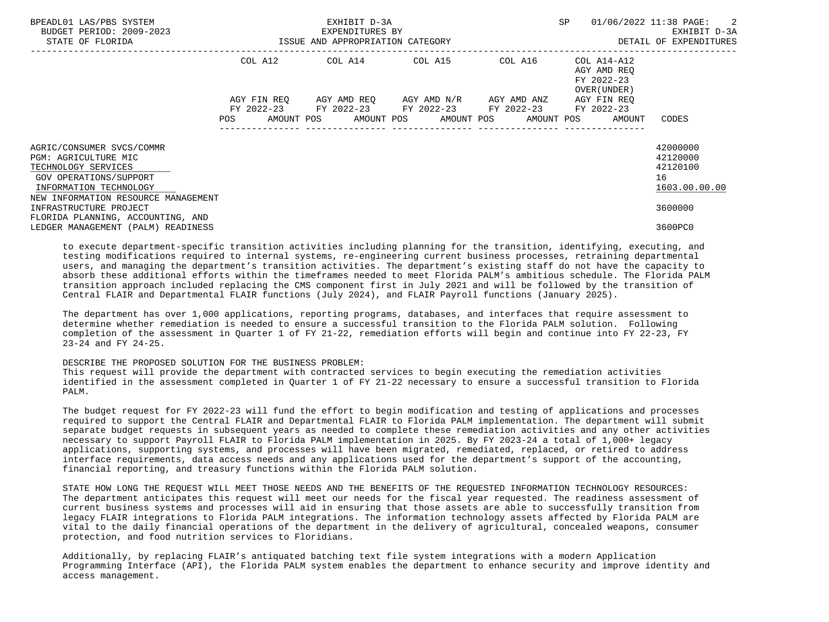| BPEADL01 LAS/PBS SYSTEM<br>BUDGET PERIOD: 2009-2023<br>STATE OF FLORIDA                                                                                             |             | EXHIBIT D-3A<br>EXPENDITURES BY<br>ISSUE AND APPROPRIATION CATEGORY | SP                                              | 01/06/2022 11:38 PAGE: 2<br>EXHIBIT D-3A<br>DETAIL OF EXPENDITURES |                                                         |
|---------------------------------------------------------------------------------------------------------------------------------------------------------------------|-------------|---------------------------------------------------------------------|-------------------------------------------------|--------------------------------------------------------------------|---------------------------------------------------------|
|                                                                                                                                                                     | COL A12     | $COL A14$ $COL A15$ $COL A16$ $COL A14-A12$                         |                                                 | AGY AMD REO<br>FY 2022-23<br>OVER (UNDER)                          |                                                         |
|                                                                                                                                                                     | AGY FIN REO | FY 2022-23 FY 2022-23 FY 2022-23 FY 2022-23 FY 2022-23              | AGY AMD REQ       AGY AMD N/R       AGY AMD ANZ | AGY FIN REO                                                        |                                                         |
|                                                                                                                                                                     |             | POS AMOUNT POS AMOUNT POS AMOUNT POS AMOUNT POS AMOUNT              |                                                 |                                                                    | CODES                                                   |
| AGRIC/CONSUMER SVCS/COMMR<br>PGM: AGRICULTURE MIC<br>TECHNOLOGY SERVICES<br>GOV OPERATIONS/SUPPORT<br>INFORMATION TECHNOLOGY<br>NEW INFORMATION RESOURCE MANAGEMENT |             |                                                                     |                                                 |                                                                    | 42000000<br>42120000<br>42120100<br>16<br>1603.00.00.00 |
| INFRASTRUCTURE PROJECT                                                                                                                                              |             |                                                                     |                                                 |                                                                    | 3600000                                                 |
| FLORIDA PLANNING, ACCOUNTING, AND<br>LEDGER MANAGEMENT (PALM) READINESS                                                                                             |             |                                                                     |                                                 |                                                                    | 3600PC0                                                 |

 to execute department-specific transition activities including planning for the transition, identifying, executing, and testing modifications required to internal systems, re-engineering current business processes, retraining departmental users, and managing the department's transition activities. The department's existing staff do not have the capacity to absorb these additional efforts within the timeframes needed to meet Florida PALM's ambitious schedule. The Florida PALM transition approach included replacing the CMS component first in July 2021 and will be followed by the transition of Central FLAIR and Departmental FLAIR functions (July 2024), and FLAIR Payroll functions (January 2025).

 The department has over 1,000 applications, reporting programs, databases, and interfaces that require assessment to determine whether remediation is needed to ensure a successful transition to the Florida PALM solution. Following completion of the assessment in Quarter 1 of FY 21-22, remediation efforts will begin and continue into FY 22-23, FY 23-24 and FY 24-25.

# DESCRIBE THE PROPOSED SOLUTION FOR THE BUSINESS PROBLEM:

 This request will provide the department with contracted services to begin executing the remediation activities identified in the assessment completed in Quarter 1 of FY 21-22 necessary to ensure a successful transition to Florida PALM.

 The budget request for FY 2022-23 will fund the effort to begin modification and testing of applications and processes required to support the Central FLAIR and Departmental FLAIR to Florida PALM implementation. The department will submit separate budget requests in subsequent years as needed to complete these remediation activities and any other activities necessary to support Payroll FLAIR to Florida PALM implementation in 2025. By FY 2023-24 a total of 1,000+ legacy applications, supporting systems, and processes will have been migrated, remediated, replaced, or retired to address interface requirements, data access needs and any applications used for the department's support of the accounting, financial reporting, and treasury functions within the Florida PALM solution.

 STATE HOW LONG THE REQUEST WILL MEET THOSE NEEDS AND THE BENEFITS OF THE REQUESTED INFORMATION TECHNOLOGY RESOURCES: The department anticipates this request will meet our needs for the fiscal year requested. The readiness assessment of current business systems and processes will aid in ensuring that those assets are able to successfully transition from legacy FLAIR integrations to Florida PALM integrations. The information technology assets affected by Florida PALM are vital to the daily financial operations of the department in the delivery of agricultural, concealed weapons, consumer protection, and food nutrition services to Floridians.

 Additionally, by replacing FLAIR's antiquated batching text file system integrations with a modern Application Programming Interface (API), the Florida PALM system enables the department to enhance security and improve identity and access management.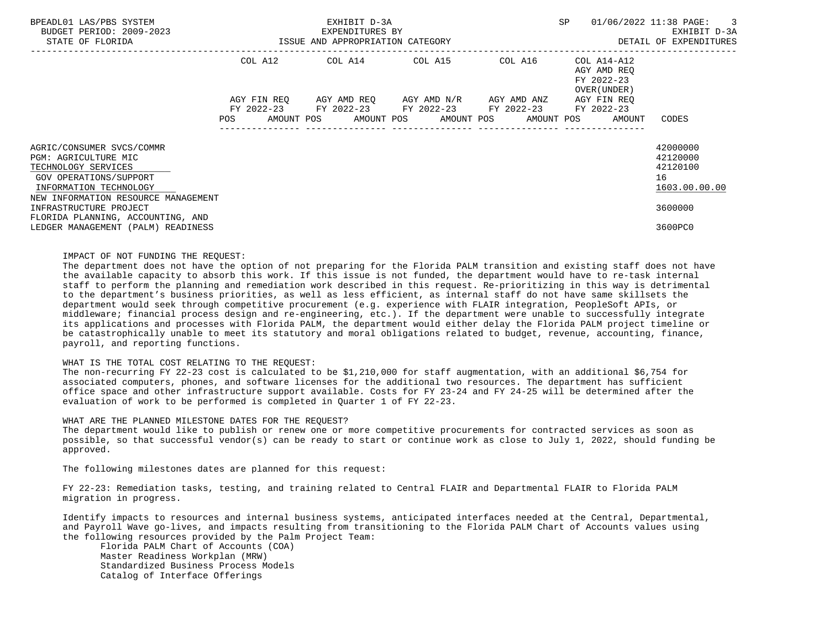| BPEADL01 LAS/PBS SYSTEM<br>BUDGET PERIOD: 2009-2023                                                                          | EXHIBIT D-3A<br>EXPENDITURES BY  |         |  |  |  |                                                                                                |  |  | SP |                                                                                     | 01/06/2022 11:38 PAGE: 3<br>EXHIBIT D-3A                |
|------------------------------------------------------------------------------------------------------------------------------|----------------------------------|---------|--|--|--|------------------------------------------------------------------------------------------------|--|--|----|-------------------------------------------------------------------------------------|---------------------------------------------------------|
| STATE OF FLORIDA                                                                                                             | ISSUE AND APPROPRIATION CATEGORY |         |  |  |  |                                                                                                |  |  |    |                                                                                     | DETAIL OF EXPENDITURES                                  |
|                                                                                                                              |                                  | COL A12 |  |  |  | COL A14 COL A15 COL A16                                                                        |  |  |    | COL A14-A12<br>AGY AMD REO<br>FY 2022-23<br>OVER (UNDER )                           |                                                         |
|                                                                                                                              |                                  |         |  |  |  | AGY FIN REQ AGY AMD REQ AGY AMD N/R AGY AMD ANZ<br>FY 2022-23 FY 2022-23 FY 2022-23 FY 2022-23 |  |  |    | AGY FIN REO<br>FY 2022-23<br>POS AMOUNT POS AMOUNT POS AMOUNT POS AMOUNT POS AMOUNT | CODES                                                   |
| AGRIC/CONSUMER SVCS/COMMR<br>PGM: AGRICULTURE MIC<br>TECHNOLOGY SERVICES<br>GOV OPERATIONS/SUPPORT<br>INFORMATION TECHNOLOGY |                                  |         |  |  |  |                                                                                                |  |  |    |                                                                                     | 42000000<br>42120000<br>42120100<br>16<br>1603.00.00.00 |
| NEW INFORMATION RESOURCE MANAGEMENT<br>INFRASTRUCTURE PROJECT                                                                |                                  |         |  |  |  |                                                                                                |  |  |    |                                                                                     | 3600000                                                 |
| FLORIDA PLANNING, ACCOUNTING, AND<br>LEDGER MANAGEMENT (PALM) READINESS                                                      |                                  |         |  |  |  |                                                                                                |  |  |    |                                                                                     | 3600PC0                                                 |

## IMPACT OF NOT FUNDING THE REQUEST:

 The department does not have the option of not preparing for the Florida PALM transition and existing staff does not have the available capacity to absorb this work. If this issue is not funded, the department would have to re-task internal staff to perform the planning and remediation work described in this request. Re-prioritizing in this way is detrimental to the department's business priorities, as well as less efficient, as internal staff do not have same skillsets the department would seek through competitive procurement (e.g. experience with FLAIR integration, PeopleSoft APIs, or middleware; financial process design and re-engineering, etc.). If the department were unable to successfully integrate its applications and processes with Florida PALM, the department would either delay the Florida PALM project timeline or be catastrophically unable to meet its statutory and moral obligations related to budget, revenue, accounting, finance, payroll, and reporting functions.

#### WHAT IS THE TOTAL COST RELATING TO THE REQUEST:

 The non-recurring FY 22-23 cost is calculated to be \$1,210,000 for staff augmentation, with an additional \$6,754 for associated computers, phones, and software licenses for the additional two resources. The department has sufficient office space and other infrastructure support available. Costs for FY 23-24 and FY 24-25 will be determined after the evaluation of work to be performed is completed in Quarter 1 of FY 22-23.

## WHAT ARE THE PLANNED MILESTONE DATES FOR THE REQUEST?

 The department would like to publish or renew one or more competitive procurements for contracted services as soon as possible, so that successful vendor(s) can be ready to start or continue work as close to July 1, 2022, should funding be approved.

The following milestones dates are planned for this request:

 FY 22-23: Remediation tasks, testing, and training related to Central FLAIR and Departmental FLAIR to Florida PALM migration in progress.

 Identify impacts to resources and internal business systems, anticipated interfaces needed at the Central, Departmental, and Payroll Wave go-lives, and impacts resulting from transitioning to the Florida PALM Chart of Accounts values using the following resources provided by the Palm Project Team:

 Florida PALM Chart of Accounts (COA) Master Readiness Workplan (MRW) Standardized Business Process Models Catalog of Interface Offerings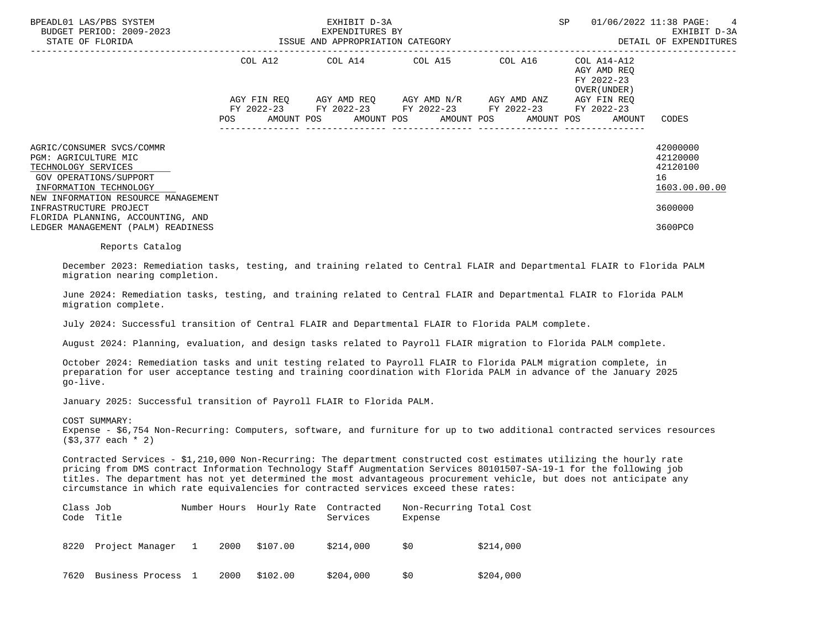| BPEADL01 LAS/PBS SYSTEM<br>BUDGET PERIOD: 2009-2023<br>STATE OF FLORIDA                                                                                                                                                                                                  |            | EXHIBIT D-3A<br>EXPENDITURES BY<br>ISSUE AND APPROPRIATION CATEGORY                            |  | SP.     | 01/06/2022 11:38 PAGE: 4<br>EXHIBIT D-3A<br>DETAIL OF EXPENDITURES              |                                                                               |
|--------------------------------------------------------------------------------------------------------------------------------------------------------------------------------------------------------------------------------------------------------------------------|------------|------------------------------------------------------------------------------------------------|--|---------|---------------------------------------------------------------------------------|-------------------------------------------------------------------------------|
|                                                                                                                                                                                                                                                                          |            | COL A12 COL A14 COL A15                                                                        |  | COL A16 | COL A14-A12<br>AGY AMD REQ<br>FY 2022-23<br>OVER (UNDER )                       |                                                                               |
|                                                                                                                                                                                                                                                                          | <b>POS</b> | AGY FIN REO AGY AMD REO AGY AMD N/R AGY AMD ANZ<br>FY 2022-23 FY 2022-23 FY 2022-23 FY 2022-23 |  |         | AGY FIN REO<br>FY 2022-23<br>AMOUNT POS AMOUNT POS AMOUNT POS AMOUNT POS AMOUNT | CODES                                                                         |
| AGRIC/CONSUMER SVCS/COMMR<br>PGM: AGRICULTURE MIC<br>TECHNOLOGY SERVICES<br>GOV OPERATIONS/SUPPORT<br>INFORMATION TECHNOLOGY<br>NEW INFORMATION RESOURCE MANAGEMENT<br>INFRASTRUCTURE PROJECT<br>FLORIDA PLANNING, ACCOUNTING, AND<br>LEDGER MANAGEMENT (PALM) READINESS |            |                                                                                                |  |         |                                                                                 | 42000000<br>42120000<br>42120100<br>16<br>1603.00.00.00<br>3600000<br>3600PC0 |

Reports Catalog

 December 2023: Remediation tasks, testing, and training related to Central FLAIR and Departmental FLAIR to Florida PALM migration nearing completion.

 June 2024: Remediation tasks, testing, and training related to Central FLAIR and Departmental FLAIR to Florida PALM migration complete.

July 2024: Successful transition of Central FLAIR and Departmental FLAIR to Florida PALM complete.

August 2024: Planning, evaluation, and design tasks related to Payroll FLAIR migration to Florida PALM complete.

 October 2024: Remediation tasks and unit testing related to Payroll FLAIR to Florida PALM migration complete, in preparation for user acceptance testing and training coordination with Florida PALM in advance of the January 2025 go-live.

January 2025: Successful transition of Payroll FLAIR to Florida PALM.

COST SUMMARY:

 Expense - \$6,754 Non-Recurring: Computers, software, and furniture for up to two additional contracted services resources (\$3,377 each \* 2)

 Contracted Services - \$1,210,000 Non-Recurring: The department constructed cost estimates utilizing the hourly rate pricing from DMS contract Information Technology Staff Augmentation Services 80101507-SA-19-1 for the following job titles. The department has not yet determined the most advantageous procurement vehicle, but does not anticipate any circumstance in which rate equivalencies for contracted services exceed these rates:

| Class Job | Code Title        |      | Number Hours Hourly Rate Contracted | Services  | Non-Recurring Total Cost<br>Expense |           |
|-----------|-------------------|------|-------------------------------------|-----------|-------------------------------------|-----------|
| 8220      | Project Manager 1 | 2000 | \$107.00                            | \$214,000 | \$0                                 | \$214,000 |
| 7620      | Business Process  | 2000 | \$102.00                            | \$204,000 | \$0                                 | \$204,000 |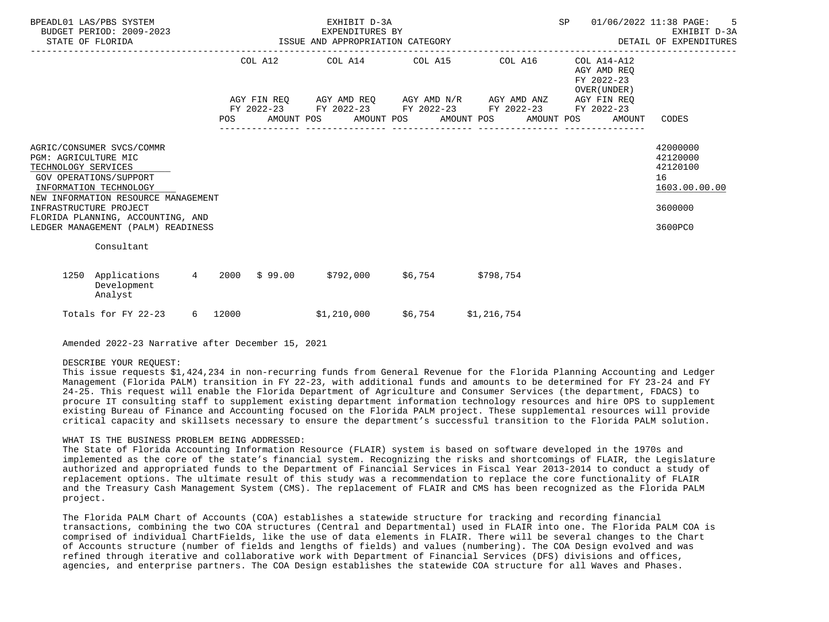| BPEADL01 LAS/PBS SYSTEM<br>BUDGET PERIOD: 2009-2023<br>STATE OF FLORIDA                                                                                                                                                                                                  |         |                  | EXHIBIT D-3A<br>EXPENDITURES BY<br>EXPENDITURES BY EXPENDITURES BY SAME AND APPROPRIATION CATEGORY |         | SP                                                                                                                                            | 01/06/2022 11:38 PAGE: 5<br>EXHIBIT D-3A<br>DETAIL OF EXPENDITURES |                                                                               |
|--------------------------------------------------------------------------------------------------------------------------------------------------------------------------------------------------------------------------------------------------------------------------|---------|------------------|----------------------------------------------------------------------------------------------------|---------|-----------------------------------------------------------------------------------------------------------------------------------------------|--------------------------------------------------------------------|-------------------------------------------------------------------------------|
|                                                                                                                                                                                                                                                                          |         |                  |                                                                                                    |         | COL A12 COL A14 COL A15 COL A16                                                                                                               | COL A14-A12<br>AGY AMD REO<br>FY 2022-23<br>OVER (UNDER)           |                                                                               |
|                                                                                                                                                                                                                                                                          | POS     |                  |                                                                                                    |         | AGY FIN REQ AGY AMD REQ AGY AMD N/R AGY AMD ANZ<br>FY 2022-23 FY 2022-23 FY 2022-23 FY 2022-23<br>AMOUNT POS AMOUNT POS AMOUNT POS AMOUNT POS | AGY FIN REO<br>FY 2022-23<br>AMOUNT                                | CODES                                                                         |
| AGRIC/CONSUMER SVCS/COMMR<br>PGM: AGRICULTURE MIC<br>TECHNOLOGY SERVICES<br>GOV OPERATIONS/SUPPORT<br>INFORMATION TECHNOLOGY<br>NEW INFORMATION RESOURCE MANAGEMENT<br>INFRASTRUCTURE PROJECT<br>FLORIDA PLANNING, ACCOUNTING, AND<br>LEDGER MANAGEMENT (PALM) READINESS |         |                  |                                                                                                    |         |                                                                                                                                               |                                                                    | 42000000<br>42120000<br>42120100<br>16<br>1603.00.00.00<br>3600000<br>3600PC0 |
| Consultant                                                                                                                                                                                                                                                               |         |                  |                                                                                                    |         |                                                                                                                                               |                                                                    |                                                                               |
| 1250 Applications<br>Development<br>Analyst                                                                                                                                                                                                                              |         | $4$ 2000 \$99.00 |                                                                                                    |         | $$792,000$ $$6,754$ $$798,754$                                                                                                                |                                                                    |                                                                               |
| Totals for FY 22-23                                                                                                                                                                                                                                                      | 6 12000 |                  | \$1,210,000                                                                                        | \$6,754 | \$1,216,754                                                                                                                                   |                                                                    |                                                                               |

Amended 2022-23 Narrative after December 15, 2021

#### DESCRIBE YOUR REQUEST:

 This issue requests \$1,424,234 in non-recurring funds from General Revenue for the Florida Planning Accounting and Ledger Management (Florida PALM) transition in FY 22-23, with additional funds and amounts to be determined for FY 23-24 and FY 24-25. This request will enable the Florida Department of Agriculture and Consumer Services (the department, FDACS) to procure IT consulting staff to supplement existing department information technology resources and hire OPS to supplement existing Bureau of Finance and Accounting focused on the Florida PALM project. These supplemental resources will provide critical capacity and skillsets necessary to ensure the department's successful transition to the Florida PALM solution.

#### WHAT IS THE BUSINESS PROBLEM BEING ADDRESSED:

 The State of Florida Accounting Information Resource (FLAIR) system is based on software developed in the 1970s and implemented as the core of the state's financial system. Recognizing the risks and shortcomings of FLAIR, the Legislature authorized and appropriated funds to the Department of Financial Services in Fiscal Year 2013-2014 to conduct a study of replacement options. The ultimate result of this study was a recommendation to replace the core functionality of FLAIR and the Treasury Cash Management System (CMS). The replacement of FLAIR and CMS has been recognized as the Florida PALM project.

 The Florida PALM Chart of Accounts (COA) establishes a statewide structure for tracking and recording financial transactions, combining the two COA structures (Central and Departmental) used in FLAIR into one. The Florida PALM COA is comprised of individual ChartFields, like the use of data elements in FLAIR. There will be several changes to the Chart of Accounts structure (number of fields and lengths of fields) and values (numbering). The COA Design evolved and was refined through iterative and collaborative work with Department of Financial Services (DFS) divisions and offices, agencies, and enterprise partners. The COA Design establishes the statewide COA structure for all Waves and Phases.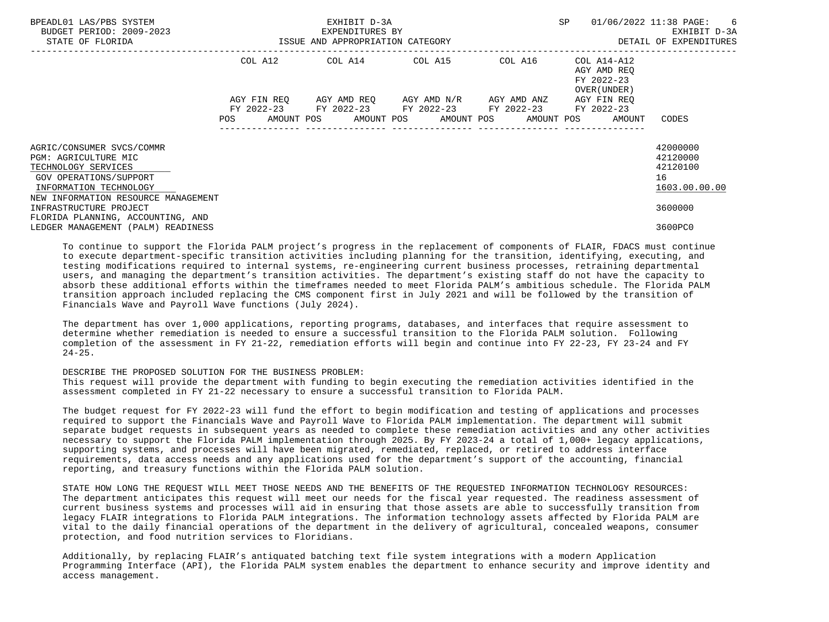| BPEADL01 LAS/PBS SYSTEM<br>BUDGET PERIOD: 2009-2023<br>STATE OF FLORIDA                                                                                             |             | EXHIBIT D-3A<br>EXPENDITURES BY<br>ISSUE AND APPROPRIATION CATEGORY | SP                                                                                                        | 01/06/2022 11:38 PAGE:<br>6<br>EXHIBIT D-3A<br>DETAIL OF EXPENDITURES |                                                           |                                                         |
|---------------------------------------------------------------------------------------------------------------------------------------------------------------------|-------------|---------------------------------------------------------------------|-----------------------------------------------------------------------------------------------------------|-----------------------------------------------------------------------|-----------------------------------------------------------|---------------------------------------------------------|
|                                                                                                                                                                     | COL A12     |                                                                     | COL A14 COL A15 COL A16                                                                                   |                                                                       | COL A14-A12<br>AGY AMD REO<br>FY 2022-23<br>OVER (UNDER ) |                                                         |
|                                                                                                                                                                     | AGY FIN REO |                                                                     | AGY AMD REQ       AGY AMD N/R       AGY AMD ANZ<br>FY 2022-23 FY 2022-23 FY 2022-23 FY 2022-23 FY 2022-23 |                                                                       | AGY FIN REO                                               |                                                         |
|                                                                                                                                                                     |             |                                                                     | POS AMOUNT POS AMOUNT POS AMOUNT POS AMOUNT POS AMOUNT                                                    |                                                                       |                                                           | CODES                                                   |
| AGRIC/CONSUMER SVCS/COMMR<br>PGM: AGRICULTURE MIC<br>TECHNOLOGY SERVICES<br>GOV OPERATIONS/SUPPORT<br>INFORMATION TECHNOLOGY<br>NEW INFORMATION RESOURCE MANAGEMENT |             |                                                                     |                                                                                                           |                                                                       |                                                           | 42000000<br>42120000<br>42120100<br>16<br>1603.00.00.00 |
| INFRASTRUCTURE PROJECT                                                                                                                                              |             |                                                                     |                                                                                                           |                                                                       |                                                           | 3600000                                                 |
| FLORIDA PLANNING, ACCOUNTING, AND<br>LEDGER MANAGEMENT (PALM) READINESS                                                                                             |             |                                                                     |                                                                                                           |                                                                       |                                                           | 3600PC0                                                 |

 To continue to support the Florida PALM project's progress in the replacement of components of FLAIR, FDACS must continue to execute department-specific transition activities including planning for the transition, identifying, executing, and testing modifications required to internal systems, re-engineering current business processes, retraining departmental users, and managing the department's transition activities. The department's existing staff do not have the capacity to absorb these additional efforts within the timeframes needed to meet Florida PALM's ambitious schedule. The Florida PALM transition approach included replacing the CMS component first in July 2021 and will be followed by the transition of Financials Wave and Payroll Wave functions (July 2024).

 The department has over 1,000 applications, reporting programs, databases, and interfaces that require assessment to determine whether remediation is needed to ensure a successful transition to the Florida PALM solution. Following completion of the assessment in FY 21-22, remediation efforts will begin and continue into FY 22-23, FY 23-24 and FY  $24 - 25$ .

## DESCRIBE THE PROPOSED SOLUTION FOR THE BUSINESS PROBLEM:

 This request will provide the department with funding to begin executing the remediation activities identified in the assessment completed in FY 21-22 necessary to ensure a successful transition to Florida PALM.

The budget request for FY 2022-23 will fund the effort to begin modification and testing of applications and processes required to support the Financials Wave and Payroll Wave to Florida PALM implementation. The department will submit separate budget requests in subsequent years as needed to complete these remediation activities and any other activities necessary to support the Florida PALM implementation through 2025. By FY 2023-24 a total of 1,000+ legacy applications, supporting systems, and processes will have been migrated, remediated, replaced, or retired to address interface requirements, data access needs and any applications used for the department's support of the accounting, financial reporting, and treasury functions within the Florida PALM solution.

 STATE HOW LONG THE REQUEST WILL MEET THOSE NEEDS AND THE BENEFITS OF THE REQUESTED INFORMATION TECHNOLOGY RESOURCES: The department anticipates this request will meet our needs for the fiscal year requested. The readiness assessment of current business systems and processes will aid in ensuring that those assets are able to successfully transition from legacy FLAIR integrations to Florida PALM integrations. The information technology assets affected by Florida PALM are vital to the daily financial operations of the department in the delivery of agricultural, concealed weapons, consumer protection, and food nutrition services to Floridians.

 Additionally, by replacing FLAIR's antiquated batching text file system integrations with a modern Application Programming Interface (API), the Florida PALM system enables the department to enhance security and improve identity and access management.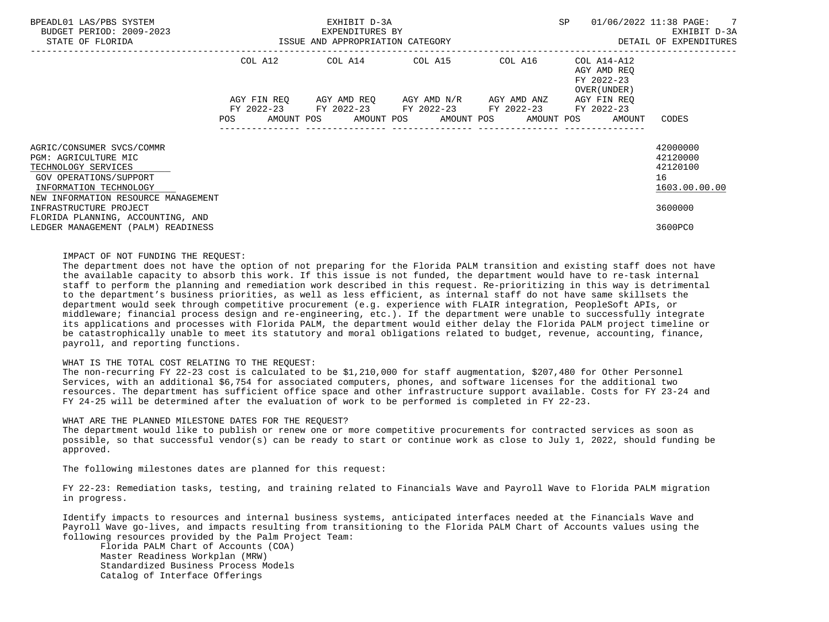| BPEADL01 LAS/PBS SYSTEM<br>BUDGET PERIOD: 2009-2023                                                                          | EXHIBIT D-3A<br>EXPENDITURES BY                                                                                |                                  |  |  |  |                                                                                    |  |  | SP |                                                                                 | 01/06/2022 11:38 PAGE: 7<br>EXHIBIT D-3A                |  |
|------------------------------------------------------------------------------------------------------------------------------|----------------------------------------------------------------------------------------------------------------|----------------------------------|--|--|--|------------------------------------------------------------------------------------|--|--|----|---------------------------------------------------------------------------------|---------------------------------------------------------|--|
| STATE OF FLORIDA                                                                                                             |                                                                                                                | ISSUE AND APPROPRIATION CATEGORY |  |  |  |                                                                                    |  |  |    |                                                                                 | DETAIL OF EXPENDITURES                                  |  |
|                                                                                                                              |                                                                                                                | COL A12                          |  |  |  | COL A14 COL A15 COL A16                                                            |  |  |    | COL A14-A12<br>AGY AMD REO<br>FY 2022-23<br>OVER (UNDER )                       |                                                         |  |
|                                                                                                                              | POS FOR THE POST OF THE POST OF THE POST OF THE POST OF THE POST OF THE POST OF THE POST OF THE POST OF THE PO | AGY FIN REO                      |  |  |  | AGY AMD REQ AGY AMD N/R AGY AMD ANZ<br>FY 2022-23 FY 2022-23 FY 2022-23 FY 2022-23 |  |  |    | AGY FIN REO<br>FY 2022-23<br>AMOUNT POS AMOUNT POS AMOUNT POS AMOUNT POS AMOUNT | CODES                                                   |  |
| AGRIC/CONSUMER SVCS/COMMR<br>PGM: AGRICULTURE MIC<br>TECHNOLOGY SERVICES<br>GOV OPERATIONS/SUPPORT<br>INFORMATION TECHNOLOGY |                                                                                                                |                                  |  |  |  |                                                                                    |  |  |    |                                                                                 | 42000000<br>42120000<br>42120100<br>16<br>1603.00.00.00 |  |
| NEW INFORMATION RESOURCE MANAGEMENT<br>INFRASTRUCTURE PROJECT                                                                |                                                                                                                |                                  |  |  |  |                                                                                    |  |  |    |                                                                                 | 3600000                                                 |  |
| FLORIDA PLANNING, ACCOUNTING, AND<br>LEDGER MANAGEMENT (PALM) READINESS                                                      |                                                                                                                |                                  |  |  |  |                                                                                    |  |  |    |                                                                                 | 3600PC0                                                 |  |

## IMPACT OF NOT FUNDING THE REQUEST:

 The department does not have the option of not preparing for the Florida PALM transition and existing staff does not have the available capacity to absorb this work. If this issue is not funded, the department would have to re-task internal staff to perform the planning and remediation work described in this request. Re-prioritizing in this way is detrimental to the department's business priorities, as well as less efficient, as internal staff do not have same skillsets the department would seek through competitive procurement (e.g. experience with FLAIR integration, PeopleSoft APIs, or middleware; financial process design and re-engineering, etc.). If the department were unable to successfully integrate its applications and processes with Florida PALM, the department would either delay the Florida PALM project timeline or be catastrophically unable to meet its statutory and moral obligations related to budget, revenue, accounting, finance, payroll, and reporting functions.

#### WHAT IS THE TOTAL COST RELATING TO THE REQUEST:

 The non-recurring FY 22-23 cost is calculated to be \$1,210,000 for staff augmentation, \$207,480 for Other Personnel Services, with an additional \$6,754 for associated computers, phones, and software licenses for the additional two resources. The department has sufficient office space and other infrastructure support available. Costs for FY 23-24 and FY 24-25 will be determined after the evaluation of work to be performed is completed in FY 22-23.

## WHAT ARE THE PLANNED MILESTONE DATES FOR THE REQUEST?

 The department would like to publish or renew one or more competitive procurements for contracted services as soon as possible, so that successful vendor(s) can be ready to start or continue work as close to July 1, 2022, should funding be approved.

The following milestones dates are planned for this request:

 FY 22-23: Remediation tasks, testing, and training related to Financials Wave and Payroll Wave to Florida PALM migration in progress.

 Identify impacts to resources and internal business systems, anticipated interfaces needed at the Financials Wave and Payroll Wave go-lives, and impacts resulting from transitioning to the Florida PALM Chart of Accounts values using the following resources provided by the Palm Project Team:

 Florida PALM Chart of Accounts (COA) Master Readiness Workplan (MRW) Standardized Business Process Models Catalog of Interface Offerings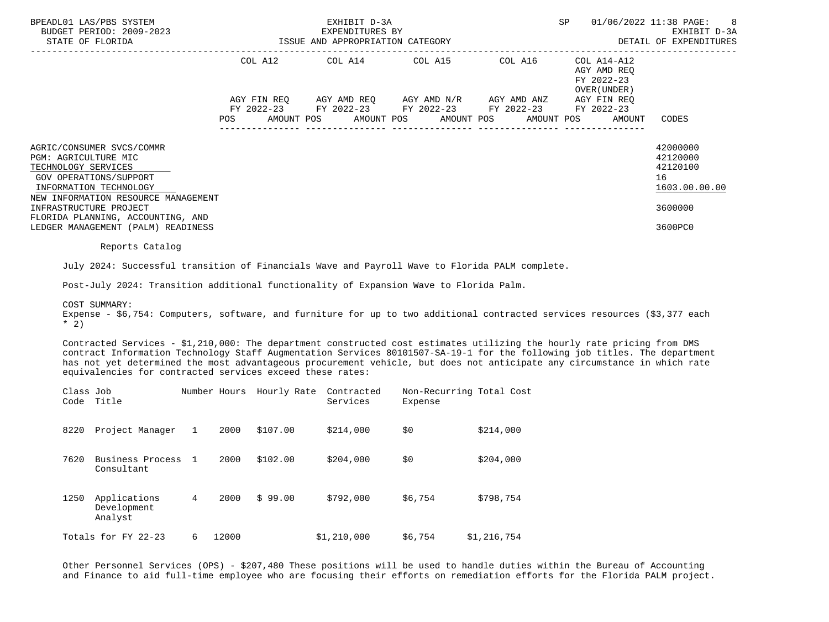|                                             | BPEADL01 LAS/PBS SYSTEM<br>BUDGET PERIOD: 2009-2023<br>STATE OF FLORIDA                                                                                                                                                                                                                                                                                                                                                                       |                 |      |               | EXHIBIT D-3A<br>EXPENDITURES BY<br>ISSUE AND APPROPRIATION CATEGORY |                                     |                                                                                                | SP<br>01/06/2022 11:38 PAGE:<br>EXHIBIT D-3A<br>DETAIL OF EXPENDITURES |                           |                                                                               |  |
|---------------------------------------------|-----------------------------------------------------------------------------------------------------------------------------------------------------------------------------------------------------------------------------------------------------------------------------------------------------------------------------------------------------------------------------------------------------------------------------------------------|-----------------|------|---------------|---------------------------------------------------------------------|-------------------------------------|------------------------------------------------------------------------------------------------|------------------------------------------------------------------------|---------------------------|-------------------------------------------------------------------------------|--|
|                                             |                                                                                                                                                                                                                                                                                                                                                                                                                                               |                 |      | COL A12       | COL A14 COL A15 COL A16                                             |                                     |                                                                                                |                                                                        |                           |                                                                               |  |
|                                             |                                                                                                                                                                                                                                                                                                                                                                                                                                               |                 |      |               |                                                                     |                                     | AGY FIN REQ AGY AMD REQ AGY AMD N/R AGY AMD ANZ<br>FY 2022-23 FY 2022-23 FY 2022-23 FY 2022-23 |                                                                        | AGY FIN REQ<br>FY 2022-23 |                                                                               |  |
|                                             |                                                                                                                                                                                                                                                                                                                                                                                                                                               |                 | POS  |               | AMOUNT POS AMOUNT POS                                               |                                     | AMOUNT POS AMOUNT POS                                                                          |                                                                        | AMOUNT                    | CODES                                                                         |  |
| PGM: AGRICULTURE MIC<br>TECHNOLOGY SERVICES | AGRIC/CONSUMER SVCS/COMMR<br>GOV OPERATIONS/SUPPORT<br>INFORMATION TECHNOLOGY<br>NEW INFORMATION RESOURCE MANAGEMENT<br>INFRASTRUCTURE PROJECT<br>FLORIDA PLANNING, ACCOUNTING, AND<br>LEDGER MANAGEMENT (PALM) READINESS                                                                                                                                                                                                                     |                 |      |               |                                                                     |                                     |                                                                                                |                                                                        |                           | 42000000<br>42120000<br>42120100<br>16<br>1603.00.00.00<br>3600000<br>3600PC0 |  |
|                                             | Reports Catalog                                                                                                                                                                                                                                                                                                                                                                                                                               |                 |      |               |                                                                     |                                     |                                                                                                |                                                                        |                           |                                                                               |  |
|                                             | July 2024: Successful transition of Financials Wave and Payroll Wave to Florida PALM complete.<br>Post-July 2024: Transition additional functionality of Expansion Wave to Florida Palm.<br>COST SUMMARY:                                                                                                                                                                                                                                     |                 |      |               |                                                                     |                                     |                                                                                                |                                                                        |                           |                                                                               |  |
| $*$ 2)                                      | Expense - \$6,754: Computers, software, and furniture for up to two additional contracted services resources (\$3,377 each                                                                                                                                                                                                                                                                                                                    |                 |      |               |                                                                     |                                     |                                                                                                |                                                                        |                           |                                                                               |  |
|                                             | Contracted Services - \$1,210,000: The department constructed cost estimates utilizing the hourly rate pricing from DMS<br>contract Information Technology Staff Augmentation Services 80101507-SA-19-1 for the following job titles. The department<br>has not yet determined the most advantageous procurement vehicle, but does not anticipate any circumstance in which rate<br>equivalencies for contracted services exceed these rates: |                 |      |               |                                                                     |                                     |                                                                                                |                                                                        |                           |                                                                               |  |
| Class Job                                   | Code Title                                                                                                                                                                                                                                                                                                                                                                                                                                    |                 |      |               | Number Hours Hourly Rate Contracted<br>Services                     | Non-Recurring Total Cost<br>Expense |                                                                                                |                                                                        |                           |                                                                               |  |
|                                             | 8220 Project Manager 1                                                                                                                                                                                                                                                                                                                                                                                                                        |                 |      | 2000 \$107.00 | \$214,000                                                           | \$0                                 | \$214,000                                                                                      |                                                                        |                           |                                                                               |  |
| 7620                                        | Business Process 1<br>Consultant                                                                                                                                                                                                                                                                                                                                                                                                              |                 | 2000 | \$102.00      | \$204,000                                                           | \$0                                 | \$204,000                                                                                      |                                                                        |                           |                                                                               |  |
|                                             | 1250 Applications<br>Development<br>Analyst                                                                                                                                                                                                                                                                                                                                                                                                   | $4\overline{ }$ | 2000 | \$99.00       | \$792,000                                                           | \$6,754                             | \$798,754                                                                                      |                                                                        |                           |                                                                               |  |

Totals for FY 22-23 6 12000 \$1,210,000 \$6,754 \$1,216,754

 Other Personnel Services (OPS) - \$207,480 These positions will be used to handle duties within the Bureau of Accounting and Finance to aid full-time employee who are focusing their efforts on remediation efforts for the Florida PALM project.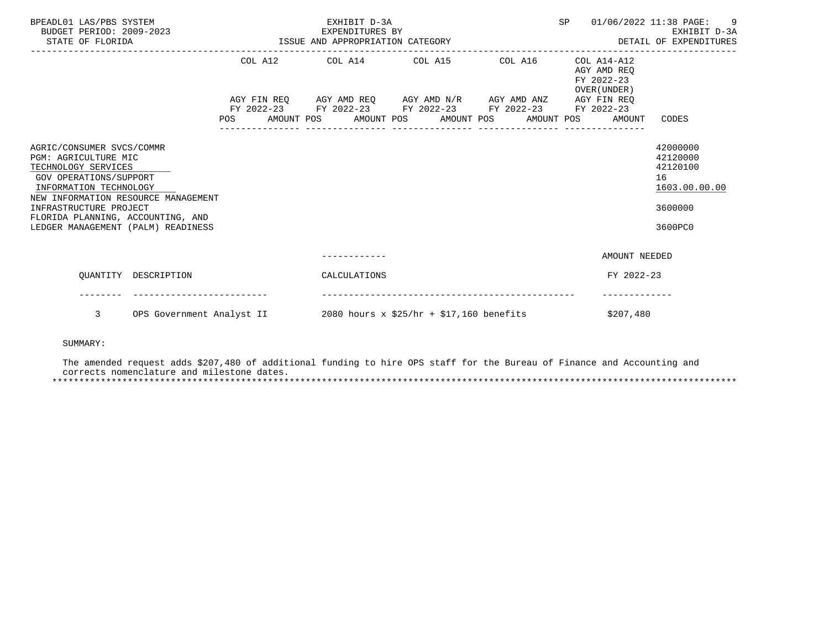| BPEADL01 LAS/PBS SYSTEM<br>BUDGET PERIOD: 2009-2023<br>STATE OF FLORIDA                                                                                                                       | 2023 EXPENDITURES BY<br>ISSUE AND APPROPRIATION CATEGORY | EXHIBIT D-3A<br>EXPENDITURES BY                                                                                                                                                 | SP<br>EARLBII D-3A<br>DETAIL OF EXPENDITURES | 01/06/2022 11:38 PAGE: 9<br>EXHIBIT D-3A |                                                          |                                                                    |
|-----------------------------------------------------------------------------------------------------------------------------------------------------------------------------------------------|----------------------------------------------------------|---------------------------------------------------------------------------------------------------------------------------------------------------------------------------------|----------------------------------------------|------------------------------------------|----------------------------------------------------------|--------------------------------------------------------------------|
|                                                                                                                                                                                               |                                                          | COL A12 COL A14 COL A15 COL A16                                                                                                                                                 |                                              |                                          | COL A14-A12<br>AGY AMD REO<br>FY 2022-23<br>OVER (UNDER) |                                                                    |
|                                                                                                                                                                                               |                                                          | AGY FIN REQ AGY AMD REQ AGY AMD N/R AGY AMD ANZ AGY FIN REQ<br>FY 2022-23 FY 2022-23 FY 2022-23 FY 2022-23 FY 2022-23<br>POS AMOUNT POS AMOUNT POS AMOUNT POS AMOUNT POS AMOUNT | ----------------                             | ---------------                          |                                                          | CODES                                                              |
| AGRIC/CONSUMER SVCS/COMMR<br>PGM: AGRICULTURE MIC<br>TECHNOLOGY SERVICES<br>GOV OPERATIONS/SUPPORT<br>INFORMATION TECHNOLOGY<br>NEW INFORMATION RESOURCE MANAGEMENT<br>INFRASTRUCTURE PROJECT |                                                          |                                                                                                                                                                                 |                                              |                                          |                                                          | 42000000<br>42120000<br>42120100<br>16<br>1603.00.00.00<br>3600000 |
| FLORIDA PLANNING, ACCOUNTING, AND<br>LEDGER MANAGEMENT (PALM) READINESS                                                                                                                       |                                                          |                                                                                                                                                                                 |                                              |                                          |                                                          | 3600PC0                                                            |
|                                                                                                                                                                                               |                                                          |                                                                                                                                                                                 |                                              |                                          | AMOUNT NEEDED                                            |                                                                    |
| OUANTITY DESCRIPTION                                                                                                                                                                          |                                                          | CALCULATIONS                                                                                                                                                                    |                                              |                                          | FY 2022-23                                               |                                                                    |
| 3                                                                                                                                                                                             | OPS Government Analyst II                                | $2080$ hours x \$25/hr + \$17,160 benefits                                                                                                                                      |                                              |                                          | \$207,480                                                |                                                                    |

# SUMMARY:

 The amended request adds \$207,480 of additional funding to hire OPS staff for the Bureau of Finance and Accounting and corrects nomenclature and milestone dates. \*\*\*\*\*\*\*\*\*\*\*\*\*\*\*\*\*\*\*\*\*\*\*\*\*\*\*\*\*\*\*\*\*\*\*\*\*\*\*\*\*\*\*\*\*\*\*\*\*\*\*\*\*\*\*\*\*\*\*\*\*\*\*\*\*\*\*\*\*\*\*\*\*\*\*\*\*\*\*\*\*\*\*\*\*\*\*\*\*\*\*\*\*\*\*\*\*\*\*\*\*\*\*\*\*\*\*\*\*\*\*\*\*\*\*\*\*\*\*\*\*\*\*\*\*\*\*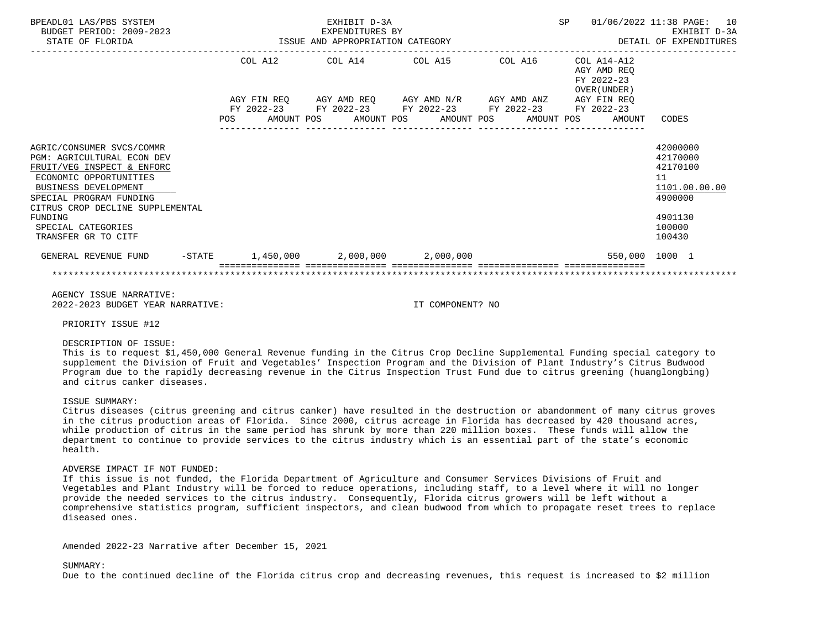| BPEADL01 LAS/PBS SYSTEM<br>BUDGET PERIOD: 2009-2023<br>STATE OF FLORIDA                                                                                                                                                                                                      |            |                                         | EXHIBIT D-3A<br>EXPENDITURES BY<br>ISSUE AND APPROPRIATION CATEGORY                             |  | <b>SP</b><br>01/06/2022 11:38 PAGE:<br>EXHIBIT D-3A<br>DETAIL OF EXPENDITURES |            |  |                                                          |                                                                                                   |
|------------------------------------------------------------------------------------------------------------------------------------------------------------------------------------------------------------------------------------------------------------------------------|------------|-----------------------------------------|-------------------------------------------------------------------------------------------------|--|-------------------------------------------------------------------------------|------------|--|----------------------------------------------------------|---------------------------------------------------------------------------------------------------|
|                                                                                                                                                                                                                                                                              |            | COL A12                                 | COL A14 COL A15                                                                                 |  |                                                                               | COL A16    |  | COL A14-A12<br>AGY AMD REO<br>FY 2022-23<br>OVER (UNDER) |                                                                                                   |
|                                                                                                                                                                                                                                                                              | <b>POS</b> | AGY FIN REO<br>FY 2022-23<br>AMOUNT POS | AGY AMD REQ      AGY AMD N/R      AGY AMD ANZ<br>FY 2022-23 FY 2022-23 FY 2022-23<br>AMOUNT POS |  | AMOUNT POS                                                                    | AMOUNT POS |  | AGY FIN REO<br>FY 2022-23<br>AMOUNT                      | CODES                                                                                             |
| AGRIC/CONSUMER SVCS/COMMR<br><b>PGM: AGRICULTURAL ECON DEV</b><br>FRUIT/VEG INSPECT & ENFORC<br>ECONOMIC OPPORTUNITIES<br><b>BUSINESS DEVELOPMENT</b><br>SPECIAL PROGRAM FUNDING<br>CITRUS CROP DECLINE SUPPLEMENTAL<br>FUNDING<br>SPECIAL CATEGORIES<br>TRANSFER GR TO CITF |            |                                         |                                                                                                 |  |                                                                               |            |  |                                                          | 42000000<br>42170000<br>42170100<br>11<br>1101.00.00.00<br>4900000<br>4901130<br>100000<br>100430 |
| GENERAL REVENUE FUND<br>$-$ STATE                                                                                                                                                                                                                                            |            | 1,450,000                               | 2,000,000                                                                                       |  | 2,000,000                                                                     |            |  |                                                          | 550.000 1000 1                                                                                    |
|                                                                                                                                                                                                                                                                              |            |                                         |                                                                                                 |  |                                                                               |            |  |                                                          |                                                                                                   |

 AGENCY ISSUE NARRATIVE: 2022-2023 BUDGET YEAR NARRATIVE: IT COMPONENT? NO

PRIORITY ISSUE #12

## DESCRIPTION OF ISSUE:

 This is to request \$1,450,000 General Revenue funding in the Citrus Crop Decline Supplemental Funding special category to supplement the Division of Fruit and Vegetables' Inspection Program and the Division of Plant Industry's Citrus Budwood Program due to the rapidly decreasing revenue in the Citrus Inspection Trust Fund due to citrus greening (huanglongbing) and citrus canker diseases.

## ISSUE SUMMARY:

 Citrus diseases (citrus greening and citrus canker) have resulted in the destruction or abandonment of many citrus groves in the citrus production areas of Florida. Since 2000, citrus acreage in Florida has decreased by 420 thousand acres, while production of citrus in the same period has shrunk by more than 220 million boxes. These funds will allow the department to continue to provide services to the citrus industry which is an essential part of the state's economic health.

# ADVERSE IMPACT IF NOT FUNDED:

 If this issue is not funded, the Florida Department of Agriculture and Consumer Services Divisions of Fruit and Vegetables and Plant Industry will be forced to reduce operations, including staff, to a level where it will no longer provide the needed services to the citrus industry. Consequently, Florida citrus growers will be left without a comprehensive statistics program, sufficient inspectors, and clean budwood from which to propagate reset trees to replace diseased ones.

Amended 2022-23 Narrative after December 15, 2021

#### SUMMARY:

Due to the continued decline of the Florida citrus crop and decreasing revenues, this request is increased to \$2 million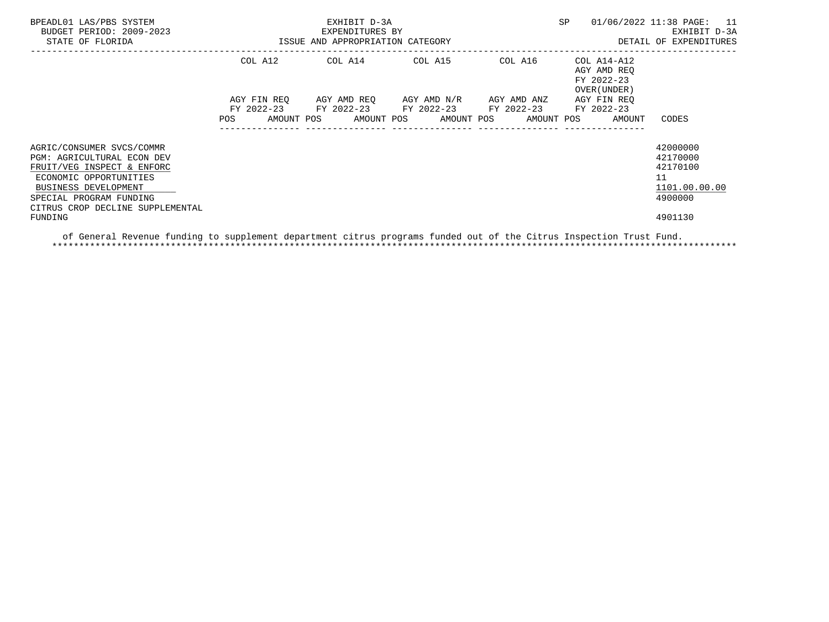| BPEADL01 LAS/PBS SYSTEM<br>BUDGET PERIOD: 2009-2023<br>STATE OF FLORIDA                                                                                                                                       | ISSUE AND APPROPRIATION CATEGORY | EXHIBIT D-3A<br>EXPENDITURES BY                        | SP                                            | 01/06/2022 11:38 PAGE: 11<br>EXHIBIT D-3A<br>DETAIL OF EXPENDITURES |                                                                    |
|---------------------------------------------------------------------------------------------------------------------------------------------------------------------------------------------------------------|----------------------------------|--------------------------------------------------------|-----------------------------------------------|---------------------------------------------------------------------|--------------------------------------------------------------------|
|                                                                                                                                                                                                               | COL A12                          | $COL A14$ $COL A15$ $COL A16$ $COL A14-A12$            |                                               | AGY AMD REO<br>FY 2022-23<br>OVER (UNDER)                           |                                                                    |
|                                                                                                                                                                                                               | AGY FIN REO<br>POS               | FY 2022-23 FY 2022-23 FY 2022-23 FY 2022-23 FY 2022-23 | AGY AMD REO      AGY AMD N/R      AGY AMD ANZ | AGY FIN REO<br>AMOUNT POS AMOUNT POS AMOUNT POS AMOUNT POS AMOUNT   | CODES                                                              |
| AGRIC/CONSUMER SVCS/COMMR<br><b>PGM: AGRICULTURAL ECON DEV</b><br>FRUIT/VEG INSPECT & ENFORC<br>ECONOMIC OPPORTUNITIES<br>BUSINESS DEVELOPMENT<br>SPECIAL PROGRAM FUNDING<br>CITRUS CROP DECLINE SUPPLEMENTAL |                                  |                                                        |                                               |                                                                     | 42000000<br>42170000<br>42170100<br>11<br>1101.00.00.00<br>4900000 |
| FUNDING                                                                                                                                                                                                       |                                  |                                                        |                                               |                                                                     | 4901130                                                            |

 of General Revenue funding to supplement department citrus programs funded out of the Citrus Inspection Trust Fund. \*\*\*\*\*\*\*\*\*\*\*\*\*\*\*\*\*\*\*\*\*\*\*\*\*\*\*\*\*\*\*\*\*\*\*\*\*\*\*\*\*\*\*\*\*\*\*\*\*\*\*\*\*\*\*\*\*\*\*\*\*\*\*\*\*\*\*\*\*\*\*\*\*\*\*\*\*\*\*\*\*\*\*\*\*\*\*\*\*\*\*\*\*\*\*\*\*\*\*\*\*\*\*\*\*\*\*\*\*\*\*\*\*\*\*\*\*\*\*\*\*\*\*\*\*\*\*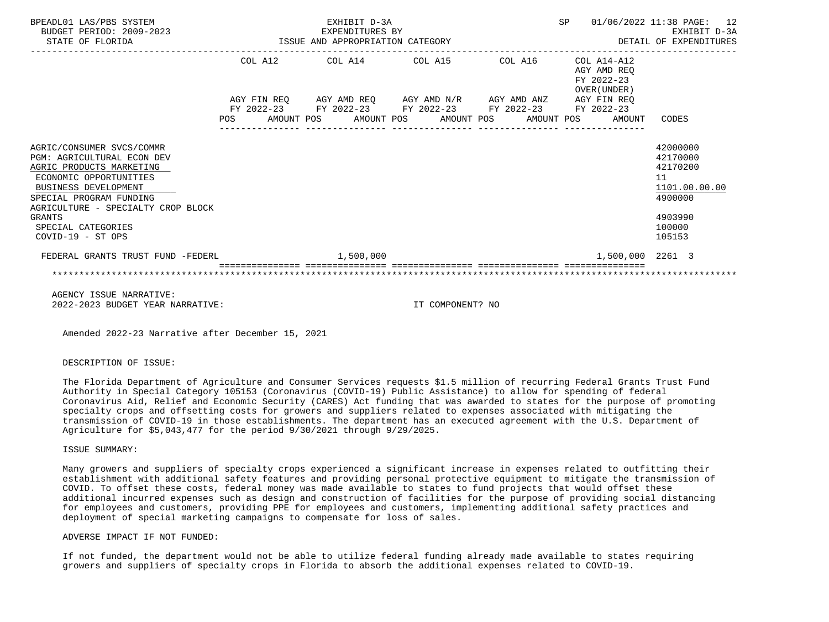| BPEADL01 LAS/PBS SYSTEM<br>BUDGET PERIOD: 2009-2023<br>STATE OF FLORIDA                                                                                                                                                 |     |  | EXHIBIT D-3A | EXPENDITURES BY<br>ISSUE AND APPROPRIATION CATEGORY                                                                                                                  |  | SP |                                                          | 01/06/2022 11:38 PAGE: 12<br>EXHIBIT D-3A<br>DETAIL OF EXPENDITURES           |
|-------------------------------------------------------------------------------------------------------------------------------------------------------------------------------------------------------------------------|-----|--|--------------|----------------------------------------------------------------------------------------------------------------------------------------------------------------------|--|----|----------------------------------------------------------|-------------------------------------------------------------------------------|
|                                                                                                                                                                                                                         |     |  |              | COL A12 COL A14 COL A15 COL A16                                                                                                                                      |  |    | COL A14-A12<br>AGY AMD REO<br>FY 2022-23<br>OVER (UNDER) |                                                                               |
|                                                                                                                                                                                                                         | POS |  |              | AGY FIN REO AGY AMD REO AGY AMD N/R AGY AMD ANZ AGY FIN REO<br>FY 2022-23 FY 2022-23 FY 2022-23 FY 2022-23 FY 2022-23<br>AMOUNT POS AMOUNT POS AMOUNT POS AMOUNT POS |  |    | AMOUNT                                                   | CODES                                                                         |
| AGRIC/CONSUMER SVCS/COMMR<br>PGM: AGRICULTURAL ECON DEV<br>AGRIC PRODUCTS MARKETING<br>ECONOMIC OPPORTUNITIES<br>BUSINESS DEVELOPMENT<br>SPECIAL PROGRAM FUNDING<br>AGRICULTURE - SPECIALTY CROP BLOCK<br><b>GRANTS</b> |     |  |              |                                                                                                                                                                      |  |    |                                                          | 42000000<br>42170000<br>42170200<br>11<br>1101.00.00.00<br>4900000<br>4903990 |
| SPECIAL CATEGORIES<br>COVID-19 - ST OPS                                                                                                                                                                                 |     |  |              |                                                                                                                                                                      |  |    |                                                          | 100000<br>105153                                                              |
| FEDERAL GRANTS TRUST FUND -FEDERL                                                                                                                                                                                       |     |  | 1,500,000    |                                                                                                                                                                      |  |    | 1,500,000 2261 3                                         |                                                                               |
|                                                                                                                                                                                                                         |     |  |              |                                                                                                                                                                      |  |    |                                                          |                                                                               |

 AGENCY ISSUE NARRATIVE: 2022-2023 BUDGET YEAR NARRATIVE: IT COMPONENT? NO

Amended 2022-23 Narrative after December 15, 2021

DESCRIPTION OF ISSUE:

 The Florida Department of Agriculture and Consumer Services requests \$1.5 million of recurring Federal Grants Trust Fund Authority in Special Category 105153 (Coronavirus (COVID-19) Public Assistance) to allow for spending of federal Coronavirus Aid, Relief and Economic Security (CARES) Act funding that was awarded to states for the purpose of promoting specialty crops and offsetting costs for growers and suppliers related to expenses associated with mitigating the transmission of COVID-19 in those establishments. The department has an executed agreement with the U.S. Department of Agriculture for \$5,043,477 for the period 9/30/2021 through 9/29/2025.

ISSUE SUMMARY:

 Many growers and suppliers of specialty crops experienced a significant increase in expenses related to outfitting their establishment with additional safety features and providing personal protective equipment to mitigate the transmission of COVID. To offset these costs, federal money was made available to states to fund projects that would offset these additional incurred expenses such as design and construction of facilities for the purpose of providing social distancing for employees and customers, providing PPE for employees and customers, implementing additional safety practices and deployment of special marketing campaigns to compensate for loss of sales.

ADVERSE IMPACT IF NOT FUNDED:

 If not funded, the department would not be able to utilize federal funding already made available to states requiring growers and suppliers of specialty crops in Florida to absorb the additional expenses related to COVID-19.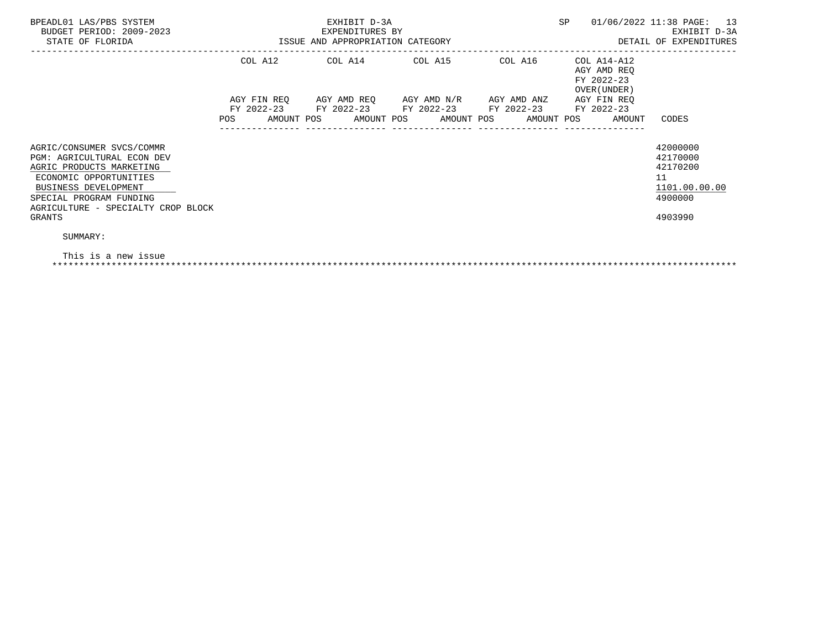| BPEADL01 LAS/PBS SYSTEM<br>BUDGET PERIOD: 2009-2023<br>STATE OF FLORIDA                                                                                                                                          | ISSUE AND APPROPRIATION CATEGORY | EXHIBIT D-3A<br>EXPENDITURES BY |                                                                                                                             |             | SP                                                       | 01/06/2022 11:38 PAGE: 13<br>EXHIBIT D-3A<br>DETAIL OF EXPENDITURES           |
|------------------------------------------------------------------------------------------------------------------------------------------------------------------------------------------------------------------|----------------------------------|---------------------------------|-----------------------------------------------------------------------------------------------------------------------------|-------------|----------------------------------------------------------|-------------------------------------------------------------------------------|
|                                                                                                                                                                                                                  | COL A12                          |                                 | COL A14 COL A15 COL A16                                                                                                     |             | COL A14-A12<br>AGY AMD REQ<br>FY 2022-23<br>OVER (UNDER) |                                                                               |
|                                                                                                                                                                                                                  | AGY FIN REO<br>POS               |                                 | AGY AMD REQ       AGY AMD N/R<br>FY 2022-23 FY 2022-23 FY 2022-23 FY 2022-23<br>AMOUNT POS AMOUNT POS AMOUNT POS AMOUNT POS | AGY AMD ANZ | AGY FIN REQ<br>FY 2022-23<br>AMOUNT                      | CODES                                                                         |
| AGRIC/CONSUMER SVCS/COMMR<br>PGM: AGRICULTURAL ECON DEV<br>AGRIC PRODUCTS MARKETING<br>ECONOMIC OPPORTUNITIES<br>BUSINESS DEVELOPMENT<br>SPECIAL PROGRAM FUNDING<br>AGRICULTURE - SPECIALTY CROP BLOCK<br>GRANTS |                                  |                                 |                                                                                                                             |             |                                                          | 42000000<br>42170000<br>42170200<br>11<br>1101.00.00.00<br>4900000<br>4903990 |
| SUMMARY:                                                                                                                                                                                                         |                                  |                                 |                                                                                                                             |             |                                                          |                                                                               |

| This is a new issue |
|---------------------|
|                     |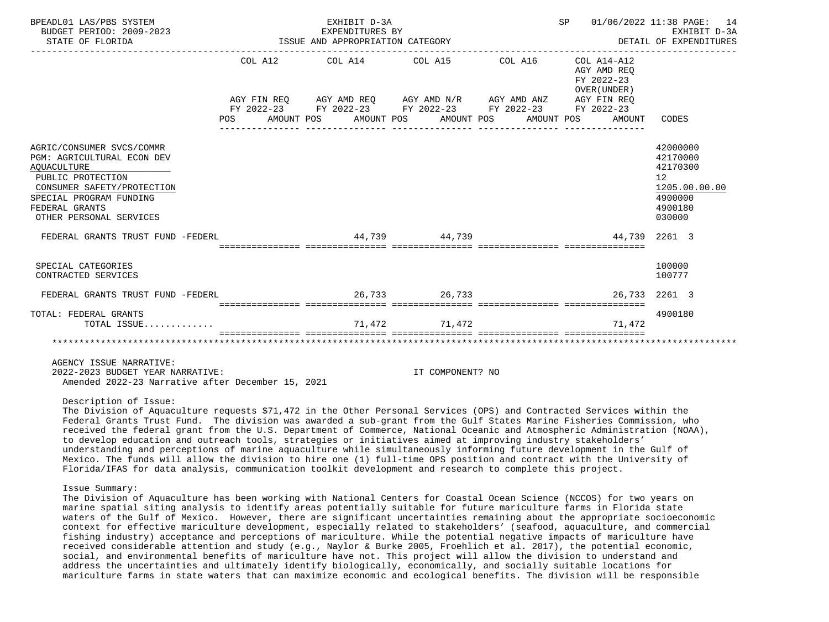| BPEADL01 LAS/PBS SYSTEM<br>BUDGET PERIOD: 2009-2023<br>ISSUE AND APPROPRIATION CATEGORY<br>STATE OF FLORIDA                                                                                              |     |  | EXHIBIT D-3A<br>EXPENDITURES BY |                                                                                                                                                                                                                     |  |                                                     | SP 01/06/2022 11:38 PAGE: 14<br>EXHIBIT D-3A<br>DETAIL OF EXPENDITURES                  |
|----------------------------------------------------------------------------------------------------------------------------------------------------------------------------------------------------------|-----|--|---------------------------------|---------------------------------------------------------------------------------------------------------------------------------------------------------------------------------------------------------------------|--|-----------------------------------------------------|-----------------------------------------------------------------------------------------|
|                                                                                                                                                                                                          | POS |  |                                 | COL A12 COL A14 COL A15 COL A16 COL A14-A12<br>AGY FIN REO AGY AMD REO AGY AMD N/R AGY AMD ANZ AGY FIN REO<br>FY 2022-23 FY 2022-23 FY 2022-23 FY 2022-23 FY 2022-23<br>AMOUNT POS AMOUNT POS AMOUNT POS AMOUNT POS |  | AGY AMD REO<br>FY 2022-23<br>OVER (UNDER)<br>AMOUNT | CODES                                                                                   |
| AGRIC/CONSUMER SVCS/COMMR<br>PGM: AGRICULTURAL ECON DEV<br><b>AOUACULTURE</b><br>PUBLIC PROTECTION<br>CONSUMER SAFETY/PROTECTION<br>SPECIAL PROGRAM FUNDING<br>FEDERAL GRANTS<br>OTHER PERSONAL SERVICES |     |  |                                 |                                                                                                                                                                                                                     |  |                                                     | 42000000<br>42170000<br>42170300<br>12<br>1205.00.00.00<br>4900000<br>4900180<br>030000 |
| FEDERAL GRANTS TRUST FUND -FEDERL 1999 1999 44,739                                                                                                                                                       |     |  |                                 |                                                                                                                                                                                                                     |  | 44,739 2261 3                                       |                                                                                         |
| SPECIAL CATEGORIES<br>CONTRACTED SERVICES                                                                                                                                                                |     |  |                                 |                                                                                                                                                                                                                     |  |                                                     | 100000<br>100777                                                                        |
| FEDERAL GRANTS TRUST FUND -FEDERL 26,733 26,733                                                                                                                                                          |     |  |                                 |                                                                                                                                                                                                                     |  | 26, 733 2261 3                                      |                                                                                         |
| TOTAL: FEDERAL GRANTS<br>TOTAL ISSUE                                                                                                                                                                     |     |  |                                 | 71,472 71,472                                                                                                                                                                                                       |  | 71,472                                              | 4900180                                                                                 |
|                                                                                                                                                                                                          |     |  |                                 |                                                                                                                                                                                                                     |  |                                                     |                                                                                         |
| AGENCY ISSUE NARRATIVE:<br>2022-2023 BUDGET YEAR NARRATIVE:<br>Amended 2022-23 Narrative after December 15, 2021                                                                                         |     |  |                                 | IT COMPONENT? NO                                                                                                                                                                                                    |  |                                                     |                                                                                         |

#### Description of Issue:

 The Division of Aquaculture requests \$71,472 in the Other Personal Services (OPS) and Contracted Services within the Federal Grants Trust Fund. The division was awarded a sub-grant from the Gulf States Marine Fisheries Commission, who received the federal grant from the U.S. Department of Commerce, National Oceanic and Atmospheric Administration (NOAA), to develop education and outreach tools, strategies or initiatives aimed at improving industry stakeholders' understanding and perceptions of marine aquaculture while simultaneously informing future development in the Gulf of Mexico. The funds will allow the division to hire one (1) full-time OPS position and contract with the University of Florida/IFAS for data analysis, communication toolkit development and research to complete this project.

#### Issue Summary:

 The Division of Aquaculture has been working with National Centers for Coastal Ocean Science (NCCOS) for two years on marine spatial siting analysis to identify areas potentially suitable for future mariculture farms in Florida state waters of the Gulf of Mexico. However, there are significant uncertainties remaining about the appropriate socioeconomic context for effective mariculture development, especially related to stakeholders' (seafood, aquaculture, and commercial fishing industry) acceptance and perceptions of mariculture. While the potential negative impacts of mariculture have received considerable attention and study (e.g., Naylor & Burke 2005, Froehlich et al. 2017), the potential economic, social, and environmental benefits of mariculture have not. This project will allow the division to understand and address the uncertainties and ultimately identify biologically, economically, and socially suitable locations for mariculture farms in state waters that can maximize economic and ecological benefits. The division will be responsible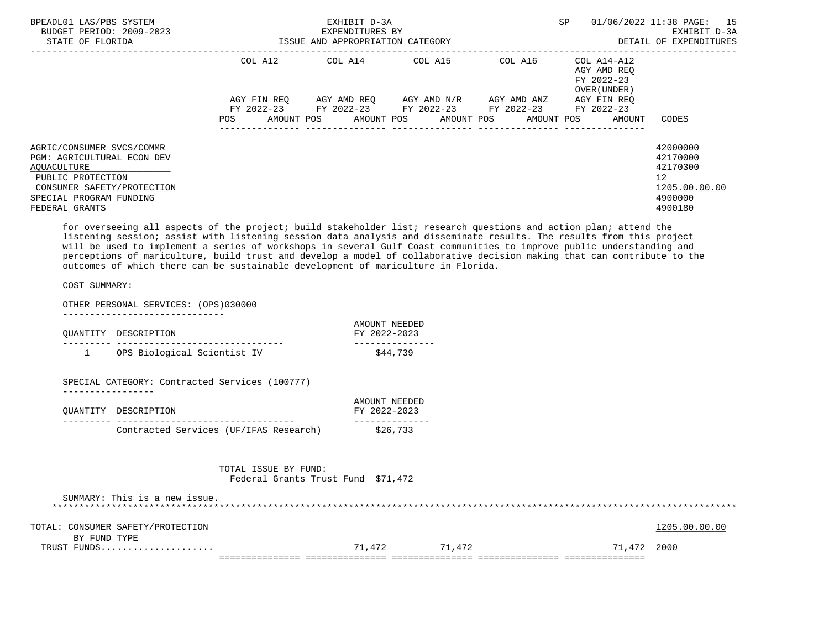| BPEADL01 LAS/PBS SYSTEM<br>BUDGET PERIOD: 2009-2023<br>STATE OF FLORIDA                                                                                                       |                                  | EXHIBIT D-3A<br>EXPENDITURES BY<br>ISSUE AND APPROPRIATION CATEGORY |                                                                                                            |             | <b>SP</b>                                           | 01/06/2022 11:38 PAGE: 15<br>EXHIBIT D-3A<br>DETAIL OF EXPENDITURES                        |
|-------------------------------------------------------------------------------------------------------------------------------------------------------------------------------|----------------------------------|---------------------------------------------------------------------|------------------------------------------------------------------------------------------------------------|-------------|-----------------------------------------------------|--------------------------------------------------------------------------------------------|
|                                                                                                                                                                               | COL A12                          | COL A14 COL A15                                                     |                                                                                                            | COL A16     | COL A14-A12<br>AGY AMD REO<br>FY 2022-23            |                                                                                            |
|                                                                                                                                                                               | AGY FIN REO<br>AMOUNT POS<br>POS |                                                                     | AGY AMD REO AGY AMD N/R<br>FY 2022-23 FY 2022-23 FY 2022-23 FY 2022-23<br>AMOUNT POS AMOUNT POS AMOUNT POS | AGY AMD ANZ | OVER (UNDER)<br>AGY FIN REO<br>FY 2022-23<br>AMOUNT | CODES                                                                                      |
| AGRIC/CONSUMER SVCS/COMMR<br><b>PGM: AGRICULTURAL ECON DEV</b><br>AOUACULTURE<br>PUBLIC PROTECTION<br>CONSUMER SAFETY/PROTECTION<br>SPECIAL PROGRAM FUNDING<br>FEDERAL GRANTS |                                  |                                                                     |                                                                                                            |             |                                                     | 42000000<br>42170000<br>42170300<br>12 <sup>°</sup><br>1205.00.00.00<br>4900000<br>4900180 |

 for overseeing all aspects of the project; build stakeholder list; research questions and action plan; attend the listening session; assist with listening session data analysis and disseminate results. The results from this project will be used to implement a series of workshops in several Gulf Coast communities to improve public understanding and perceptions of mariculture, build trust and develop a model of collaborative decision making that can contribute to the outcomes of which there can be sustainable development of mariculture in Florida.

COST SUMMARY:

OTHER PERSONAL SERVICES: (OPS)030000

------------------------------

|              | QUANTITY DESCRIPTION                                       | AMOUNT NEEDED<br>FY 2022-2023 |
|--------------|------------------------------------------------------------|-------------------------------|
| $\mathbf{1}$ | OPS Biological Scientist IV                                | \$44,739                      |
|              | SPECIAL CATEGORY: Contracted Services (100777)             |                               |
| QUANTITY     | DESCRIPTION                                                | AMOUNT NEEDED<br>FY 2022-2023 |
|              | Contracted Services (UF/IFAS Research)                     | \$26,733                      |
|              | TOTAL ISSUE BY FUND:<br>Federal Grants Trust Fund \$71,472 |                               |
|              | SUMMARY: This is a new issue.                              |                               |

| TOTAL: CONSUMER SAFETY/PROTECTION |        |        |             | 1205.00.00.00 |
|-----------------------------------|--------|--------|-------------|---------------|
| BY FUND TYPE                      |        |        |             |               |
| TRUST FUNDS                       | 71,472 | 71,472 | 71,472 2000 |               |
|                                   |        |        |             |               |

\*\*\*\*\*\*\*\*\*\*\*\*\*\*\*\*\*\*\*\*\*\*\*\*\*\*\*\*\*\*\*\*\*\*\*\*\*\*\*\*\*\*\*\*\*\*\*\*\*\*\*\*\*\*\*\*\*\*\*\*\*\*\*\*\*\*\*\*\*\*\*\*\*\*\*\*\*\*\*\*\*\*\*\*\*\*\*\*\*\*\*\*\*\*\*\*\*\*\*\*\*\*\*\*\*\*\*\*\*\*\*\*\*\*\*\*\*\*\*\*\*\*\*\*\*\*\*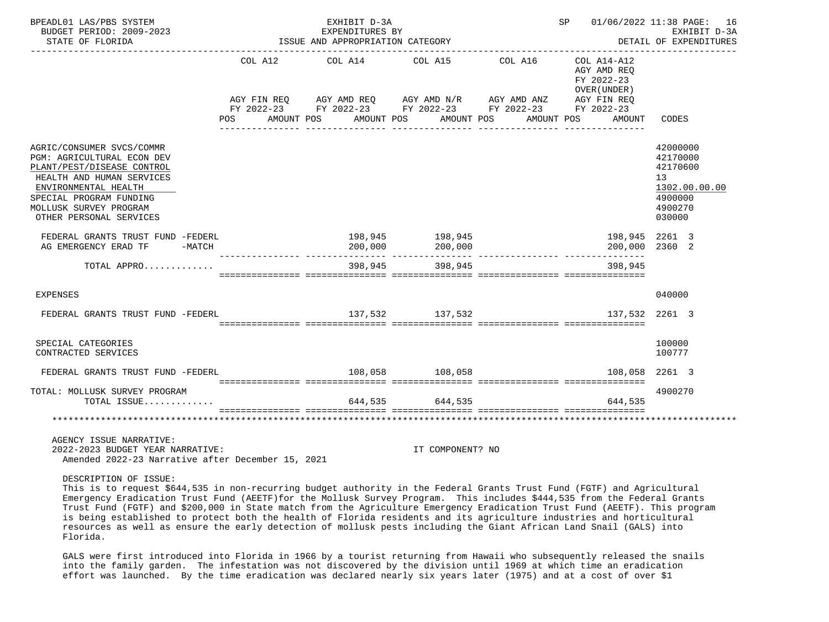| BPEADL01 LAS/PBS SYSTEM<br>BUDGET PERIOD: 2009-2023<br>STATE OF FLORIDA                                                                                                                                                    |            | EXHIBIT D-3A<br>EXPENDITURES BY<br>ISSUE AND APPROPRIATION CATEGORY |                                                                                                                                       |                       | SP 01/06/2022 11:38 PAGE: 16                                                      | EXHIBIT D-3A<br>DETAIL OF EXPENDITURES                                                  |
|----------------------------------------------------------------------------------------------------------------------------------------------------------------------------------------------------------------------------|------------|---------------------------------------------------------------------|---------------------------------------------------------------------------------------------------------------------------------------|-----------------------|-----------------------------------------------------------------------------------|-----------------------------------------------------------------------------------------|
| POS                                                                                                                                                                                                                        | AMOUNT POS | COL A12 COL A14 COL A15                                             | AGY FIN REQ AGY AMD REQ AGY AMD N/R AGY AMD ANZ<br>FY 2022-23 FY 2022-23 FY 2022-23 FY 2022-23 FY 2022-23<br>AMOUNT POS<br>AMOUNT POS | COL A16<br>AMOUNT POS | COL A14-A12<br>AGY AMD REO<br>FY 2022-23<br>OVER (UNDER)<br>AGY FIN REO<br>AMOUNT | CODES                                                                                   |
| AGRIC/CONSUMER SVCS/COMMR<br>PGM: AGRICULTURAL ECON DEV<br>PLANT/PEST/DISEASE CONTROL<br>HEALTH AND HUMAN SERVICES<br>ENVIRONMENTAL HEALTH<br>SPECIAL PROGRAM FUNDING<br>MOLLUSK SURVEY PROGRAM<br>OTHER PERSONAL SERVICES |            |                                                                     |                                                                                                                                       |                       |                                                                                   | 42000000<br>42170000<br>42170600<br>13<br>1302.00.00.00<br>4900000<br>4900270<br>030000 |
| FEDERAL GRANTS TRUST FUND -FEDERL<br>AG EMERGENCY ERAD TF<br>$-MATCH$                                                                                                                                                      |            | 200,000                                                             | 198,945 198,945<br>200,000                                                                                                            |                       | 198,945 2261 3<br>200,000 2360 2                                                  |                                                                                         |
| TOTAL APPRO                                                                                                                                                                                                                |            | 398,945                                                             | 398,945                                                                                                                               |                       | 398.945                                                                           |                                                                                         |
| EXPENSES                                                                                                                                                                                                                   |            |                                                                     |                                                                                                                                       |                       |                                                                                   | 040000                                                                                  |
| FEDERAL GRANTS TRUST FUND -FEDERL                                                                                                                                                                                          |            |                                                                     | 137,532 137,532                                                                                                                       |                       | 137,532 2261 3                                                                    |                                                                                         |
| SPECIAL CATEGORIES<br>CONTRACTED SERVICES                                                                                                                                                                                  |            |                                                                     |                                                                                                                                       |                       |                                                                                   | 100000<br>100777                                                                        |
| FEDERAL GRANTS TRUST FUND -FEDERL                                                                                                                                                                                          |            |                                                                     | 108,058 108,058                                                                                                                       |                       | 108,058 2261 3                                                                    |                                                                                         |
| TOTAL: MOLLUSK SURVEY PROGRAM<br>TOTAL ISSUE                                                                                                                                                                               |            |                                                                     | 644,535 644,535                                                                                                                       |                       | 644,535                                                                           | 4900270                                                                                 |
|                                                                                                                                                                                                                            |            |                                                                     |                                                                                                                                       |                       |                                                                                   |                                                                                         |
| AGENCY ISSUE NARRATIVE:<br>2022-2023 BUDGET YEAR NARRATIVE:<br>Amended 2022-23 Narrative after December 15, 2021                                                                                                           |            |                                                                     | IT COMPONENT? NO                                                                                                                      |                       |                                                                                   |                                                                                         |

DESCRIPTION OF ISSUE:

 This is to request \$644,535 in non-recurring budget authority in the Federal Grants Trust Fund (FGTF) and Agricultural Emergency Eradication Trust Fund (AEETF)for the Mollusk Survey Program. This includes \$444,535 from the Federal Grants Trust Fund (FGTF) and \$200,000 in State match from the Agriculture Emergency Eradication Trust Fund (AEETF). This program is being established to protect both the health of Florida residents and its agriculture industries and horticultural resources as well as ensure the early detection of mollusk pests including the Giant African Land Snail (GALS) into Florida.

 GALS were first introduced into Florida in 1966 by a tourist returning from Hawaii who subsequently released the snails into the family garden. The infestation was not discovered by the division until 1969 at which time an eradication effort was launched. By the time eradication was declared nearly six years later (1975) and at a cost of over \$1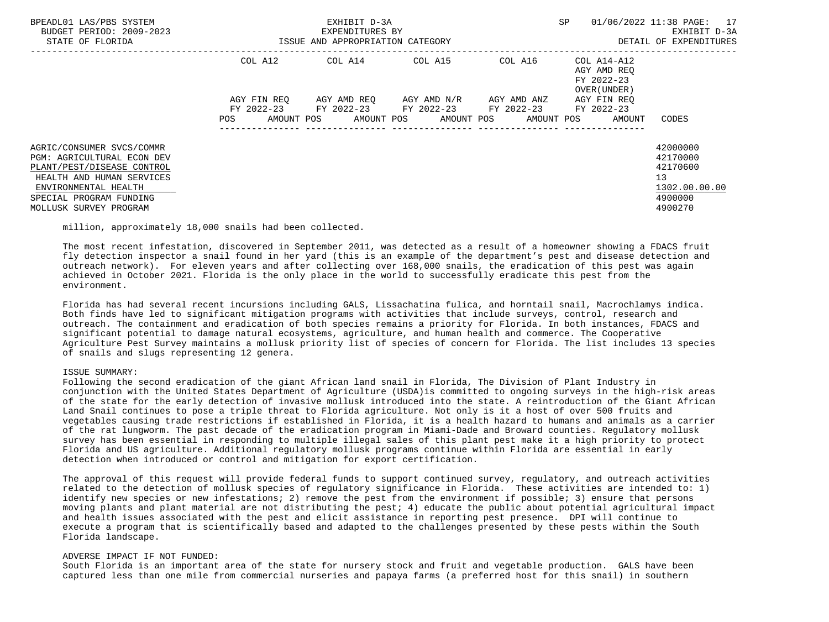| BPEADL01 LAS/PBS SYSTEM<br>BUDGET PERIOD: 2009-2023<br>STATE OF FLORIDA                                                                                                                                | ISSUE AND APPROPRIATION CATEGORY | EXHIBIT D-3A<br>EXPENDITURES BY                                                            |                  | SP                                         | 01/06/2022 11:38 PAGE: 17<br>EXHIBIT D-3A<br>DETAIL OF EXPENDITURES           |
|--------------------------------------------------------------------------------------------------------------------------------------------------------------------------------------------------------|----------------------------------|--------------------------------------------------------------------------------------------|------------------|--------------------------------------------|-------------------------------------------------------------------------------|
|                                                                                                                                                                                                        |                                  | COL A12 COL A14 COL A15 COL A16 COL A14-A12                                                |                  | AGY AMD REO<br>FY 2022-23<br>OVER (UNDER ) |                                                                               |
|                                                                                                                                                                                                        |                                  | AGY FIN REO AGY AMD REO AGY AMD N/R AGY AMD ANZ                                            |                  | AGY FIN REO                                |                                                                               |
|                                                                                                                                                                                                        | POS                              | FY 2022-23 FY 2022-23 FY 2022-23 FY 2022-23 FY 2022-23<br>AMOUNT POS AMOUNT POS AMOUNT POS | ---------------- | AMOUNT POS<br>AMOUNT                       | CODES                                                                         |
| AGRIC/CONSUMER SVCS/COMMR<br><b>PGM: AGRICULTURAL ECON DEV</b><br>PLANT/PEST/DISEASE CONTROL<br>HEALTH AND HUMAN SERVICES<br>ENVIRONMENTAL HEALTH<br>SPECIAL PROGRAM FUNDING<br>MOLLUSK SURVEY PROGRAM |                                  |                                                                                            |                  |                                            | 42000000<br>42170000<br>42170600<br>13<br>1302.00.00.00<br>4900000<br>4900270 |

million, approximately 18,000 snails had been collected.

 The most recent infestation, discovered in September 2011, was detected as a result of a homeowner showing a FDACS fruit fly detection inspector a snail found in her yard (this is an example of the department's pest and disease detection and outreach network). For eleven years and after collecting over 168,000 snails, the eradication of this pest was again achieved in October 2021. Florida is the only place in the world to successfully eradicate this pest from the environment.

 Florida has had several recent incursions including GALS, Lissachatina fulica, and horntail snail, Macrochlamys indica. Both finds have led to significant mitigation programs with activities that include surveys, control, research and outreach. The containment and eradication of both species remains a priority for Florida. In both instances, FDACS and significant potential to damage natural ecosystems, agriculture, and human health and commerce. The Cooperative Agriculture Pest Survey maintains a mollusk priority list of species of concern for Florida. The list includes 13 species of snails and slugs representing 12 genera.

# ISSUE SUMMARY:

 Following the second eradication of the giant African land snail in Florida, The Division of Plant Industry in conjunction with the United States Department of Agriculture (USDA)is committed to ongoing surveys in the high-risk areas of the state for the early detection of invasive mollusk introduced into the state. A reintroduction of the Giant African Land Snail continues to pose a triple threat to Florida agriculture. Not only is it a host of over 500 fruits and vegetables causing trade restrictions if established in Florida, it is a health hazard to humans and animals as a carrier of the rat lungworm. The past decade of the eradication program in Miami-Dade and Broward counties. Regulatory mollusk survey has been essential in responding to multiple illegal sales of this plant pest make it a high priority to protect Florida and US agriculture. Additional regulatory mollusk programs continue within Florida are essential in early detection when introduced or control and mitigation for export certification.

 The approval of this request will provide federal funds to support continued survey, regulatory, and outreach activities related to the detection of mollusk species of regulatory significance in Florida. These activities are intended to: 1) identify new species or new infestations; 2) remove the pest from the environment if possible; 3) ensure that persons moving plants and plant material are not distributing the pest; 4) educate the public about potential agricultural impact and health issues associated with the pest and elicit assistance in reporting pest presence. DPI will continue to execute a program that is scientifically based and adapted to the challenges presented by these pests within the South Florida landscape.

## ADVERSE IMPACT IF NOT FUNDED:

 South Florida is an important area of the state for nursery stock and fruit and vegetable production. GALS have been captured less than one mile from commercial nurseries and papaya farms (a preferred host for this snail) in southern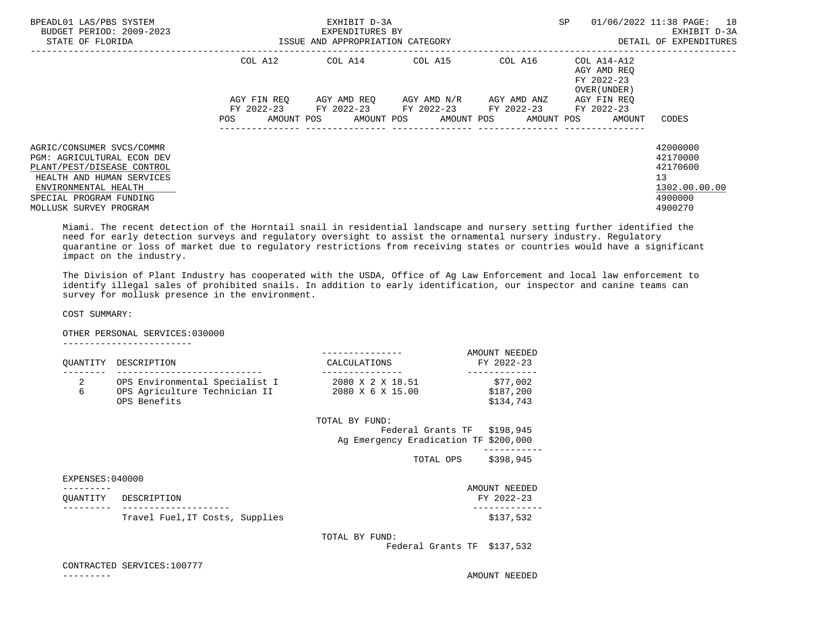| BPEADL01 LAS/PBS SYSTEM<br>BUDGET PERIOD: 2009-2023<br>STATE OF FLORIDA                                                                                                                                |                   | EXHIBIT D-3A<br>EXPENDITURES BY<br>ISSUE AND APPROPRIATION CATEGORY |                                     |                                             | SP                                                        | 01/06/2022 11:38 PAGE: 18<br>EXHIBIT D-3A<br>DETAIL OF EXPENDITURES           |
|--------------------------------------------------------------------------------------------------------------------------------------------------------------------------------------------------------|-------------------|---------------------------------------------------------------------|-------------------------------------|---------------------------------------------|-----------------------------------------------------------|-------------------------------------------------------------------------------|
|                                                                                                                                                                                                        | COL A12           |                                                                     | COL A14 COL A15                     | COL A16                                     | COL A14-A12<br>AGY AMD REO<br>FY 2022-23<br>OVER (UNDER ) |                                                                               |
|                                                                                                                                                                                                        | AGY FIN REO       |                                                                     | AGY AMD REO AGY AMD N/R AGY AMD ANZ | FY 2022-23 FY 2022-23 FY 2022-23 FY 2022-23 | AGY FIN REO<br>FY 2022-23                                 |                                                                               |
|                                                                                                                                                                                                        | POS<br>AMOUNT POS |                                                                     | AMOUNT POS AMOUNT POS               | ______________________________________      | AMOUNT POS<br>AMOUNT                                      | CODES                                                                         |
| AGRIC/CONSUMER SVCS/COMMR<br><b>PGM: AGRICULTURAL ECON DEV</b><br>PLANT/PEST/DISEASE CONTROL<br>HEALTH AND HUMAN SERVICES<br>ENVIRONMENTAL HEALTH<br>SPECIAL PROGRAM FUNDING<br>MOLLUSK SURVEY PROGRAM |                   |                                                                     |                                     |                                             |                                                           | 42000000<br>42170000<br>42170600<br>13<br>1302.00.00.00<br>4900000<br>4900270 |

 Miami. The recent detection of the Horntail snail in residential landscape and nursery setting further identified the need for early detection surveys and regulatory oversight to assist the ornamental nursery industry. Regulatory quarantine or loss of market due to regulatory restrictions from receiving states or countries would have a significant impact on the industry.

 The Division of Plant Industry has cooperated with the USDA, Office of Ag Law Enforcement and local law enforcement to identify illegal sales of prohibited snails. In addition to early identification, our inspector and canine teams can survey for mollusk presence in the environment.

COST SUMMARY:

OTHER PERSONAL SERVICES:030000

| ------------------------ |  |  |  |  |  |  |  |  |  |
|--------------------------|--|--|--|--|--|--|--|--|--|
|                          |  |  |  |  |  |  |  |  |  |
|                          |  |  |  |  |  |  |  |  |  |

| OUANTITY            | DESCRIPTION                                                                     | CALCULATIONS                                            | AMOUNT NEEDED<br>FY 2022-23        |
|---------------------|---------------------------------------------------------------------------------|---------------------------------------------------------|------------------------------------|
| $\overline{2}$<br>6 | OPS Environmental Specialist I<br>OPS Agriculture Technician II<br>OPS Benefits | 2080 X 2 X 18.51<br>2080 X 6 X 15.00                    | \$77,002<br>\$187,200<br>\$134,743 |
|                     |                                                                                 | TOTAL BY FUND:<br>Ag Emergency Eradication TF \$200,000 | Federal Grants TF \$198,945        |
|                     |                                                                                 | TOTAL OPS                                               | \$398,945                          |
| EXPENSES: 040000    |                                                                                 |                                                         |                                    |
| OUANTITY            | DESCRIPTION                                                                     |                                                         | AMOUNT NEEDED<br>FY 2022-23        |
|                     | Travel Fuel, IT Costs, Supplies                                                 |                                                         | \$137,532                          |
|                     |                                                                                 | TOTAL BY FUND:                                          | Federal Grants TF \$137,532        |

CONTRACTED SERVICES:100777

--------- AMOUNT NEEDED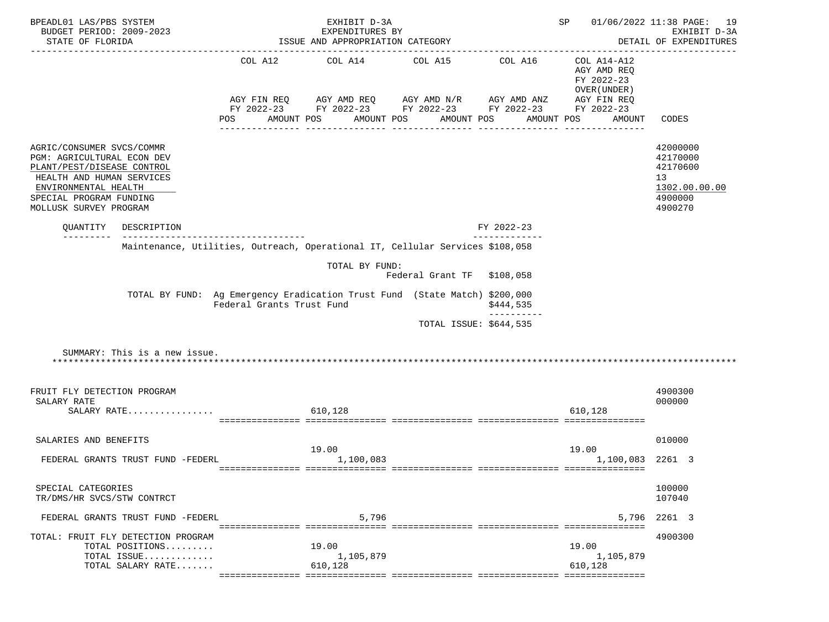| BPEADL01 LAS/PBS SYSTEM<br>BUDGET PERIOD: 2009-2023                                                                                                                                             | EXHIBIT D-3A<br>EXPENDITURES BY                                                                         |                                  |                                                                                                                                                          |                          | SP                                                                  | 01/06/2022 11:38 PAGE: 19<br>EXHIBIT D-3A                                     |
|-------------------------------------------------------------------------------------------------------------------------------------------------------------------------------------------------|---------------------------------------------------------------------------------------------------------|----------------------------------|----------------------------------------------------------------------------------------------------------------------------------------------------------|--------------------------|---------------------------------------------------------------------|-------------------------------------------------------------------------------|
| STATE OF FLORIDA                                                                                                                                                                                |                                                                                                         | ISSUE AND APPROPRIATION CATEGORY |                                                                                                                                                          |                          |                                                                     | DETAIL OF EXPENDITURES                                                        |
|                                                                                                                                                                                                 | POS                                                                                                     | AMOUNT POS AMOUNT POS            | COL A12 COL A14 COL A15 COL A16<br>AGY FIN REQ AGY AMD REQ AGY AMD N/R AGY AMD ANZ AGY FIN REQ<br>FY 2022-23 FY 2022-23 FY 2022-23 FY 2022-23 FY 2022-23 | AMOUNT POS<br>AMOUNT POS | COL A14-A12<br>AGY AMD REQ<br>FY 2022-23<br>OVER (UNDER )<br>AMOUNT | CODES                                                                         |
| AGRIC/CONSUMER SVCS/COMMR<br>PGM: AGRICULTURAL ECON DEV<br>PLANT/PEST/DISEASE CONTROL<br>HEALTH AND HUMAN SERVICES<br>ENVIRONMENTAL HEALTH<br>SPECIAL PROGRAM FUNDING<br>MOLLUSK SURVEY PROGRAM |                                                                                                         |                                  |                                                                                                                                                          |                          |                                                                     | 42000000<br>42170000<br>42170600<br>13<br>1302.00.00.00<br>4900000<br>4900270 |
| QUANTITY DESCRIPTION                                                                                                                                                                            | ------------------------------------                                                                    |                                  |                                                                                                                                                          | FY 2022-23               |                                                                     |                                                                               |
|                                                                                                                                                                                                 | Maintenance, Utilities, Outreach, Operational IT, Cellular Services \$108,058                           |                                  |                                                                                                                                                          |                          |                                                                     |                                                                               |
|                                                                                                                                                                                                 |                                                                                                         | TOTAL BY FUND:                   | Federal Grant TF \$108,058                                                                                                                               |                          |                                                                     |                                                                               |
|                                                                                                                                                                                                 | TOTAL BY FUND: Ag Emergency Eradication Trust Fund (State Match) \$200,000<br>Federal Grants Trust Fund |                                  |                                                                                                                                                          | \$444,535<br>----------  |                                                                     |                                                                               |
|                                                                                                                                                                                                 |                                                                                                         |                                  |                                                                                                                                                          | TOTAL ISSUE: \$644,535   |                                                                     |                                                                               |
| SUMMARY: This is a new issue.                                                                                                                                                                   |                                                                                                         |                                  |                                                                                                                                                          |                          |                                                                     |                                                                               |
| FRUIT FLY DETECTION PROGRAM<br>SALARY RATE                                                                                                                                                      |                                                                                                         |                                  |                                                                                                                                                          |                          |                                                                     | 4900300<br>000000                                                             |
| SALARY RATE                                                                                                                                                                                     |                                                                                                         | 610,128                          |                                                                                                                                                          |                          | 610,128                                                             |                                                                               |
| SALARIES AND BENEFITS                                                                                                                                                                           |                                                                                                         | 19.00                            |                                                                                                                                                          |                          | 19.00                                                               | 010000                                                                        |
| FEDERAL GRANTS TRUST FUND -FEDERL                                                                                                                                                               |                                                                                                         | 1,100,083                        |                                                                                                                                                          |                          | 1,100,083 2261 3                                                    |                                                                               |
| SPECIAL CATEGORIES<br>TR/DMS/HR SVCS/STW CONTRCT                                                                                                                                                |                                                                                                         |                                  |                                                                                                                                                          |                          |                                                                     | 100000<br>107040                                                              |
| FEDERAL GRANTS TRUST FUND -FEDERL                                                                                                                                                               |                                                                                                         | 5,796                            |                                                                                                                                                          |                          | 5,796                                                               | 2261 3                                                                        |
| TOTAL: FRUIT FLY DETECTION PROGRAM<br>TOTAL POSITIONS<br>TOTAL ISSUE<br>TOTAL SALARY RATE                                                                                                       |                                                                                                         | 19.00<br>1,105,879<br>610,128    |                                                                                                                                                          |                          | 19.00<br>1,105,879<br>610,128                                       | 4900300                                                                       |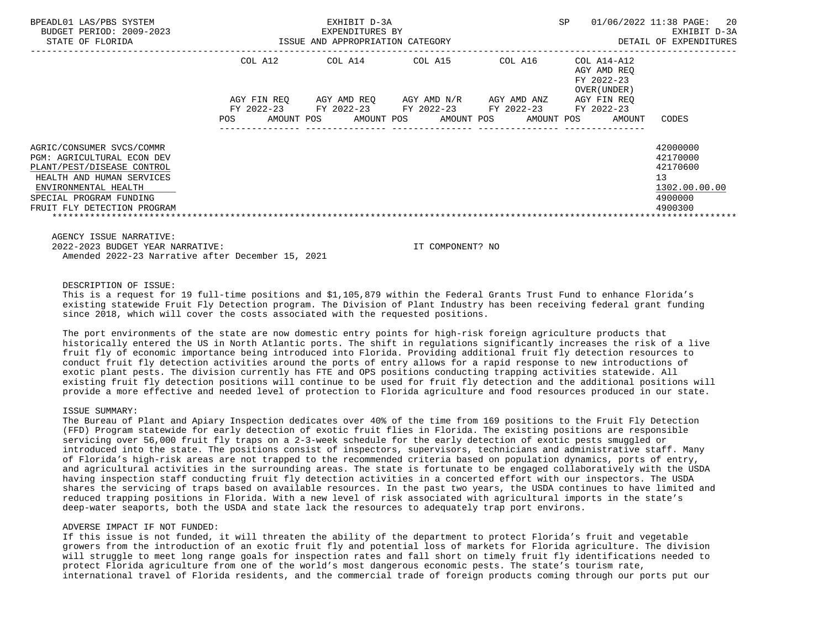| BPEADL01 LAS/PBS SYSTEM<br>BUDGET PERIOD: 2009-2023<br>STATE OF FLORIDA | EXHIBIT D-3A<br>EXPENDITURES BY<br>ISSUE AND APPROPRIATION CATEGORY |                       |                       | <b>SP</b><br>01/06/2022 11:38 PAGE: | 20<br>EXHIBIT D-3A<br>DETAIL OF EXPENDITURES             |               |
|-------------------------------------------------------------------------|---------------------------------------------------------------------|-----------------------|-----------------------|-------------------------------------|----------------------------------------------------------|---------------|
|                                                                         | COL A12                                                             | COL A14               | COL A15               | COL A16                             | COL A14-A12<br>AGY AMD REQ<br>FY 2022-23<br>OVER (UNDER) |               |
|                                                                         | AGY FIN REO                                                         | AGY AMD REO           | AGY AMD N/R           | AGY AMD ANZ                         | AGY FIN REO                                              |               |
|                                                                         | FY 2022-23                                                          | FY 2022-23 FY 2022-23 |                       | FY 2022-23                          | FY 2022-23                                               |               |
|                                                                         | <b>POS</b><br>AMOUNT POS                                            |                       | AMOUNT POS AMOUNT POS | AMOUNT POS                          | AMOUNT                                                   | CODES         |
| AGRIC/CONSUMER SVCS/COMMR                                               |                                                                     |                       |                       |                                     |                                                          | 42000000      |
| <b>PGM: AGRICULTURAL ECON DEV</b>                                       |                                                                     |                       |                       |                                     |                                                          | 42170000      |
| PLANT/PEST/DISEASE CONTROL                                              |                                                                     |                       |                       |                                     |                                                          | 42170600      |
| HEALTH AND HUMAN SERVICES                                               |                                                                     |                       |                       |                                     |                                                          | 13            |
| ENVIRONMENTAL HEALTH                                                    |                                                                     |                       |                       |                                     |                                                          | 1302.00.00.00 |
| SPECIAL PROGRAM FUNDING                                                 |                                                                     |                       |                       |                                     |                                                          | 4900000       |
| FRUIT FLY DETECTION PROGRAM                                             |                                                                     |                       |                       |                                     |                                                          | 4900300       |
|                                                                         |                                                                     |                       |                       |                                     |                                                          |               |

AGENCY ISSUE NARRATIVE:

 2022-2023 BUDGET YEAR NARRATIVE: IT COMPONENT? NO Amended 2022-23 Narrative after December 15, 2021

# DESCRIPTION OF ISSUE:

 This is a request for 19 full-time positions and \$1,105,879 within the Federal Grants Trust Fund to enhance Florida's existing statewide Fruit Fly Detection program. The Division of Plant Industry has been receiving federal grant funding since 2018, which will cover the costs associated with the requested positions.

 The port environments of the state are now domestic entry points for high-risk foreign agriculture products that historically entered the US in North Atlantic ports. The shift in regulations significantly increases the risk of a live fruit fly of economic importance being introduced into Florida. Providing additional fruit fly detection resources to conduct fruit fly detection activities around the ports of entry allows for a rapid response to new introductions of exotic plant pests. The division currently has FTE and OPS positions conducting trapping activities statewide. All existing fruit fly detection positions will continue to be used for fruit fly detection and the additional positions will provide a more effective and needed level of protection to Florida agriculture and food resources produced in our state.

## ISSUE SUMMARY:

 The Bureau of Plant and Apiary Inspection dedicates over 40% of the time from 169 positions to the Fruit Fly Detection (FFD) Program statewide for early detection of exotic fruit flies in Florida. The existing positions are responsible servicing over 56,000 fruit fly traps on a 2-3-week schedule for the early detection of exotic pests smuggled or introduced into the state. The positions consist of inspectors, supervisors, technicians and administrative staff. Many of Florida's high-risk areas are not trapped to the recommended criteria based on population dynamics, ports of entry, and agricultural activities in the surrounding areas. The state is fortunate to be engaged collaboratively with the USDA having inspection staff conducting fruit fly detection activities in a concerted effort with our inspectors. The USDA shares the servicing of traps based on available resources. In the past two years, the USDA continues to have limited and reduced trapping positions in Florida. With a new level of risk associated with agricultural imports in the state's deep-water seaports, both the USDA and state lack the resources to adequately trap port environs.

#### ADVERSE IMPACT IF NOT FUNDED:

 If this issue is not funded, it will threaten the ability of the department to protect Florida's fruit and vegetable growers from the introduction of an exotic fruit fly and potential loss of markets for Florida agriculture. The division will struggle to meet long range goals for inspection rates and fall short on timely fruit fly identifications needed to protect Florida agriculture from one of the world's most dangerous economic pests. The state's tourism rate, international travel of Florida residents, and the commercial trade of foreign products coming through our ports put our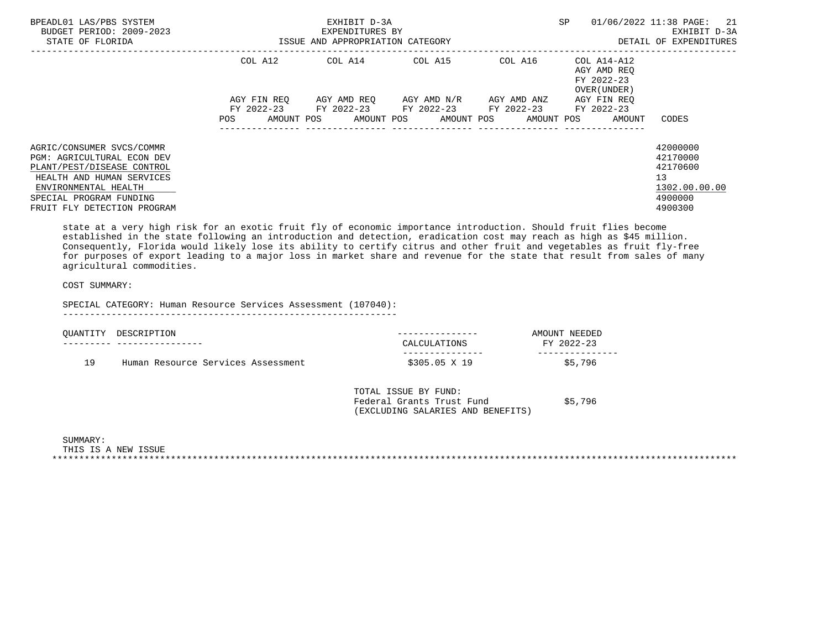| SP<br>ISSUE AND APPROPRIATION CATEGORY                                                                                                        | 01/06/2022 11:38 PAGE:<br>21<br>EXHIBIT D-3A<br>DETAIL OF EXPENDITURES                                                                                                                                                                                                                                                                                              |
|-----------------------------------------------------------------------------------------------------------------------------------------------|---------------------------------------------------------------------------------------------------------------------------------------------------------------------------------------------------------------------------------------------------------------------------------------------------------------------------------------------------------------------|
| COL A14 COL A15<br>COL A16                                                                                                                    | COL A14-A12<br>AGY AMD REO<br>FY 2022-23<br>OVER (UNDER)                                                                                                                                                                                                                                                                                                            |
| AGY AMD REQ       AGY AMD N/R       AGY AMD ANZ<br>FY 2022-23 FY 2022-23 FY 2022-23 FY 2022-23<br>AMOUNT POS AMOUNT POS AMOUNT POS AMOUNT POS | AGY FIN REO<br>FY 2022-23<br>AMOUNT<br>CODES                                                                                                                                                                                                                                                                                                                        |
|                                                                                                                                               | 42000000<br>42170000<br>42170600<br>13<br>1302.00.00.00<br>4900000<br>4900300                                                                                                                                                                                                                                                                                       |
|                                                                                                                                               | state at a very high risk for an exotic fruit fly of economic importance introduction. Should fruit flies become<br>established in the state following an introduction and detection, eradication cost may reach as high as \$45 million.<br>Consequently, Florida would likely lose its ability to certify citrus and other fruit and vegetables as fruit fly-free |

 Consequently, Florida would likely lose its ability to certify citrus and other fruit and vegetables as fruit fly-free for purposes of export leading to a major loss in market share and revenue for the state that result from sales of many agricultural commodities.

# COST SUMMARY:

SPECIAL CATEGORY: Human Resource Services Assessment (107040):

--------------------------------------------------------------

| OUANTITY | DESCRIPTION                        |               | AMOUNT NEEDED |
|----------|------------------------------------|---------------|---------------|
|          |                                    | CALCULATIONS  | FY 2022-23    |
|          |                                    |               |               |
| <b>Q</b> | Human Resource Services Assessment | \$305.05 X 19 | \$5,796       |

 TOTAL ISSUE BY FUND: Federal Grants Trust Fund \$5,796 (EXCLUDING SALARIES AND BENEFITS)

 SUMMARY: THIS IS A NEW ISSUE \*\*\*\*\*\*\*\*\*\*\*\*\*\*\*\*\*\*\*\*\*\*\*\*\*\*\*\*\*\*\*\*\*\*\*\*\*\*\*\*\*\*\*\*\*\*\*\*\*\*\*\*\*\*\*\*\*\*\*\*\*\*\*\*\*\*\*\*\*\*\*\*\*\*\*\*\*\*\*\*\*\*\*\*\*\*\*\*\*\*\*\*\*\*\*\*\*\*\*\*\*\*\*\*\*\*\*\*\*\*\*\*\*\*\*\*\*\*\*\*\*\*\*\*\*\*\*